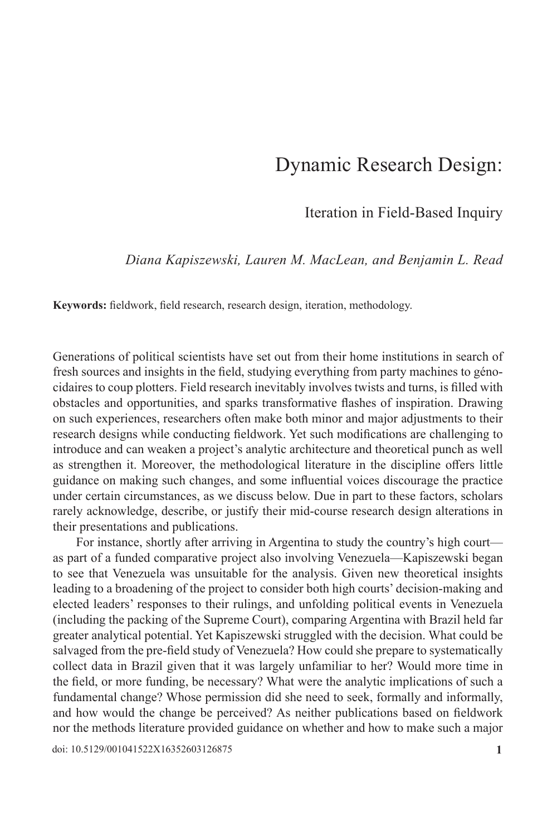# Dynamic Research Design:

Iteration in Field-Based Inquiry

*Diana Kapiszewski, Lauren M. MacLean, and Benjamin L. Read*

**Keywords:** fieldwork, field research, research design, iteration, methodology.

Generations of political scientists have set out from their home institutions in search of fresh sources and insights in the field, studying everything from party machines to génocidaires to coup plotters. Field research inevitably involves twists and turns, is filled with obstacles and opportunities, and sparks transformative flashes of inspiration. Drawing on such experiences, researchers often make both minor and major adjustments to their research designs while conducting fieldwork. Yet such modifications are challenging to introduce and can weaken a project's analytic architecture and theoretical punch as well as strengthen it. Moreover, the methodological literature in the discipline offers little guidance on making such changes, and some influential voices discourage the practice under certain circumstances, as we discuss below. Due in part to these factors, scholars rarely acknowledge, describe, or justify their mid-course research design alterations in their presentations and publications.

For instance, shortly after arriving in Argentina to study the country's high court as part of a funded comparative project also involving Venezuela—Kapiszewski began to see that Venezuela was unsuitable for the analysis. Given new theoretical insights leading to a broadening of the project to consider both high courts' decision-making and elected leaders' responses to their rulings, and unfolding political events in Venezuela (including the packing of the Supreme Court), comparing Argentina with Brazil held far greater analytical potential. Yet Kapiszewski struggled with the decision. What could be salvaged from the pre-field study of Venezuela? How could she prepare to systematically collect data in Brazil given that it was largely unfamiliar to her? Would more time in the field, or more funding, be necessary? What were the analytic implications of such a fundamental change? Whose permission did she need to seek, formally and informally, and how would the change be perceived? As neither publications based on fieldwork nor the methods literature provided guidance on whether and how to make such a major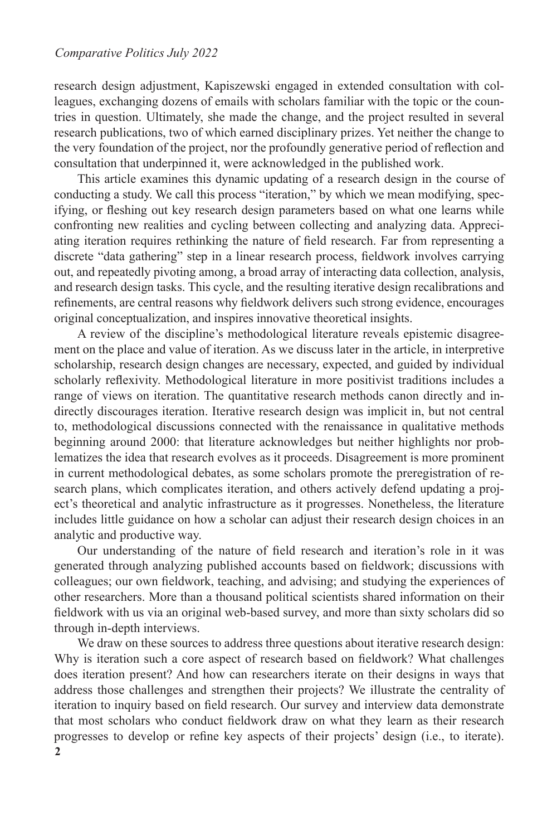research design adjustment, Kapiszewski engaged in extended consultation with colleagues, exchanging dozens of emails with scholars familiar with the topic or the countries in question. Ultimately, she made the change, and the project resulted in several research publications, two of which earned disciplinary prizes. Yet neither the change to the very foundation of the project, nor the profoundly generative period of reflection and consultation that underpinned it, were acknowledged in the published work.

This article examines this dynamic updating of a research design in the course of conducting a study. We call this process "iteration," by which we mean modifying, specifying, or fleshing out key research design parameters based on what one learns while confronting new realities and cycling between collecting and analyzing data. Appreciating iteration requires rethinking the nature of field research. Far from representing a discrete "data gathering" step in a linear research process, fieldwork involves carrying out, and repeatedly pivoting among, a broad array of interacting data collection, analysis, and research design tasks. This cycle, and the resulting iterative design recalibrations and refinements, are central reasons why fieldwork delivers such strong evidence, encourages original conceptualization, and inspires innovative theoretical insights.

A review of the discipline's methodological literature reveals epistemic disagreement on the place and value of iteration. As we discuss later in the article, in interpretive scholarship, research design changes are necessary, expected, and guided by individual scholarly reflexivity. Methodological literature in more positivist traditions includes a range of views on iteration. The quantitative research methods canon directly and indirectly discourages iteration. Iterative research design was implicit in, but not central to, methodological discussions connected with the renaissance in qualitative methods beginning around 2000: that literature acknowledges but neither highlights nor problematizes the idea that research evolves as it proceeds. Disagreement is more prominent in current methodological debates, as some scholars promote the preregistration of research plans, which complicates iteration, and others actively defend updating a project's theoretical and analytic infrastructure as it progresses. Nonetheless, the literature includes little guidance on how a scholar can adjust their research design choices in an analytic and productive way.

Our understanding of the nature of field research and iteration's role in it was generated through analyzing published accounts based on fieldwork; discussions with colleagues; our own fieldwork, teaching, and advising; and studying the experiences of other researchers. More than a thousand political scientists shared information on their fieldwork with us via an original web-based survey, and more than sixty scholars did so through in-depth interviews.

**2** We draw on these sources to address three questions about iterative research design: Why is iteration such a core aspect of research based on fieldwork? What challenges does iteration present? And how can researchers iterate on their designs in ways that address those challenges and strengthen their projects? We illustrate the centrality of iteration to inquiry based on field research. Our survey and interview data demonstrate that most scholars who conduct fieldwork draw on what they learn as their research progresses to develop or refine key aspects of their projects' design (i.e., to iterate).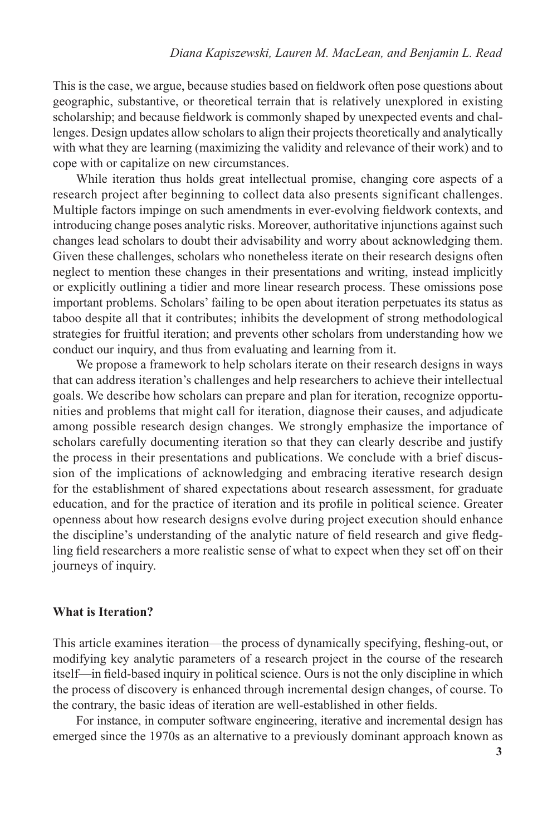This is the case, we argue, because studies based on fieldwork often pose questions about geographic, substantive, or theoretical terrain that is relatively unexplored in existing scholarship; and because fieldwork is commonly shaped by unexpected events and challenges. Design updates allow scholars to align their projects theoretically and analytically with what they are learning (maximizing the validity and relevance of their work) and to cope with or capitalize on new circumstances.

While iteration thus holds great intellectual promise, changing core aspects of a research project after beginning to collect data also presents significant challenges. Multiple factors impinge on such amendments in ever-evolving fieldwork contexts, and introducing change poses analytic risks. Moreover, authoritative injunctions against such changes lead scholars to doubt their advisability and worry about acknowledging them. Given these challenges, scholars who nonetheless iterate on their research designs often neglect to mention these changes in their presentations and writing, instead implicitly or explicitly outlining a tidier and more linear research process. These omissions pose important problems. Scholars' failing to be open about iteration perpetuates its status as taboo despite all that it contributes; inhibits the development of strong methodological strategies for fruitful iteration; and prevents other scholars from understanding how we conduct our inquiry, and thus from evaluating and learning from it.

We propose a framework to help scholars iterate on their research designs in ways that can address iteration's challenges and help researchers to achieve their intellectual goals. We describe how scholars can prepare and plan for iteration, recognize opportunities and problems that might call for iteration, diagnose their causes, and adjudicate among possible research design changes. We strongly emphasize the importance of scholars carefully documenting iteration so that they can clearly describe and justify the process in their presentations and publications. We conclude with a brief discussion of the implications of acknowledging and embracing iterative research design for the establishment of shared expectations about research assessment, for graduate education, and for the practice of iteration and its profile in political science. Greater openness about how research designs evolve during project execution should enhance the discipline's understanding of the analytic nature of field research and give fledgling field researchers a more realistic sense of what to expect when they set off on their journeys of inquiry.

### **What is Iteration?**

This article examines iteration—the process of dynamically specifying, fleshing-out, or modifying key analytic parameters of a research project in the course of the research itself—in field-based inquiry in political science. Ours is not the only discipline in which the process of discovery is enhanced through incremental design changes, of course. To the contrary, the basic ideas of iteration are well-established in other fields.

For instance, in computer software engineering, iterative and incremental design has emerged since the 1970s as an alternative to a previously dominant approach known as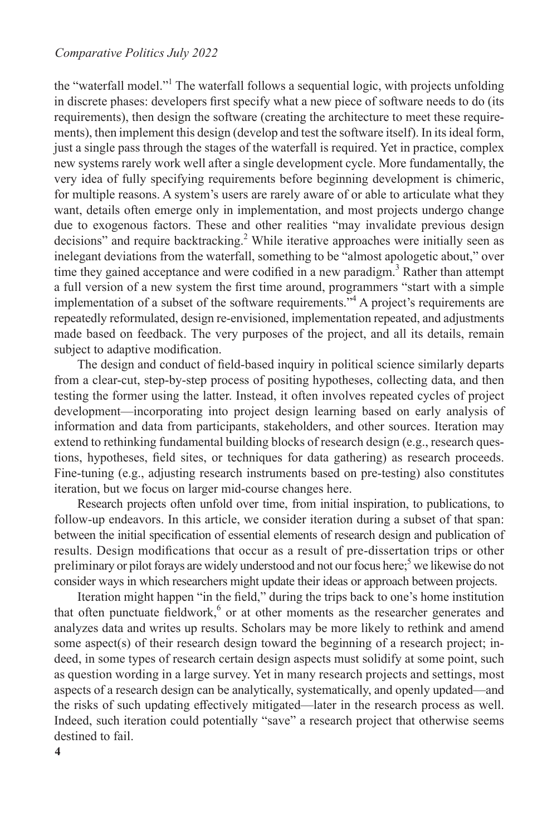the "waterfall model."<sup>1</sup> The waterfall follows a sequential logic, with projects unfolding in discrete phases: developers first specify what a new piece of software needs to do (its requirements), then design the software (creating the architecture to meet these requirements), then implement this design (develop and test the software itself). In its ideal form, just a single pass through the stages of the waterfall is required. Yet in practice, complex new systems rarely work well after a single development cycle. More fundamentally, the very idea of fully specifying requirements before beginning development is chimeric, for multiple reasons. A system's users are rarely aware of or able to articulate what they want, details often emerge only in implementation, and most projects undergo change due to exogenous factors. These and other realities "may invalidate previous design decisions" and require backtracking.<sup>2</sup> While iterative approaches were initially seen as inelegant deviations from the waterfall, something to be "almost apologetic about," over time they gained acceptance and were codified in a new paradigm.<sup>3</sup> Rather than attempt a full version of a new system the first time around, programmers "start with a simple implementation of a subset of the software requirements."<sup>4</sup> A project's requirements are repeatedly reformulated, design re-envisioned, implementation repeated, and adjustments made based on feedback. The very purposes of the project, and all its details, remain subject to adaptive modification.

The design and conduct of field-based inquiry in political science similarly departs from a clear-cut, step-by-step process of positing hypotheses, collecting data, and then testing the former using the latter. Instead, it often involves repeated cycles of project development—incorporating into project design learning based on early analysis of information and data from participants, stakeholders, and other sources. Iteration may extend to rethinking fundamental building blocks of research design (e.g., research questions, hypotheses, field sites, or techniques for data gathering) as research proceeds. Fine-tuning (e.g., adjusting research instruments based on pre-testing) also constitutes iteration, but we focus on larger mid-course changes here.

Research projects often unfold over time, from initial inspiration, to publications, to follow-up endeavors. In this article, we consider iteration during a subset of that span: between the initial specification of essential elements of research design and publication of results. Design modifications that occur as a result of pre-dissertation trips or other preliminary or pilot forays are widely understood and not our focus here;<sup>5</sup> we likewise do not consider ways in which researchers might update their ideas or approach between projects.

Iteration might happen "in the field," during the trips back to one's home institution that often punctuate fieldwork, $6$  or at other moments as the researcher generates and analyzes data and writes up results. Scholars may be more likely to rethink and amend some aspect(s) of their research design toward the beginning of a research project; indeed, in some types of research certain design aspects must solidify at some point, such as question wording in a large survey. Yet in many research projects and settings, most aspects of a research design can be analytically, systematically, and openly updated—and the risks of such updating effectively mitigated—later in the research process as well. Indeed, such iteration could potentially "save" a research project that otherwise seems destined to fail.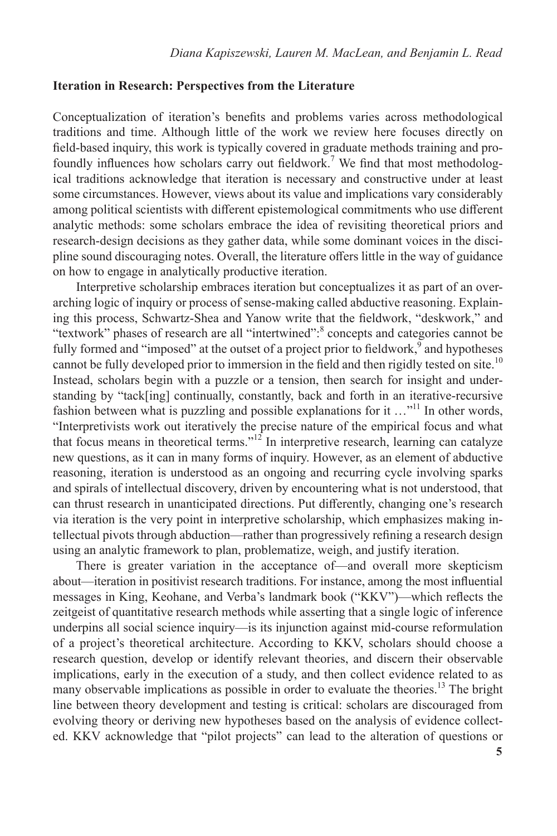## **Iteration in Research: Perspectives from the Literature**

Conceptualization of iteration's benefits and problems varies across methodological traditions and time. Although little of the work we review here focuses directly on field-based inquiry, this work is typically covered in graduate methods training and profoundly influences how scholars carry out fieldwork.<sup>7</sup> We find that most methodological traditions acknowledge that iteration is necessary and constructive under at least some circumstances. However, views about its value and implications vary considerably among political scientists with different epistemological commitments who use different analytic methods: some scholars embrace the idea of revisiting theoretical priors and research-design decisions as they gather data, while some dominant voices in the discipline sound discouraging notes. Overall, the literature offers little in the way of guidance on how to engage in analytically productive iteration.

Interpretive scholarship embraces iteration but conceptualizes it as part of an overarching logic of inquiry or process of sense-making called abductive reasoning. Explaining this process, Schwartz-Shea and Yanow write that the fieldwork, "deskwork," and "textwork" phases of research are all "intertwined": concepts and categories cannot be fully formed and "imposed" at the outset of a project prior to fieldwork,<sup>9</sup> and hypotheses cannot be fully developed prior to immersion in the field and then rigidly tested on site.<sup>10</sup> Instead, scholars begin with a puzzle or a tension, then search for insight and understanding by "tack[ing] continually, constantly, back and forth in an iterative-recursive fashion between what is puzzling and possible explanations for it  $\dots$ <sup>11</sup>. In other words, "Interpretivists work out iteratively the precise nature of the empirical focus and what that focus means in theoretical terms."<sup>12</sup> In interpretive research, learning can catalyze new questions, as it can in many forms of inquiry. However, as an element of abductive reasoning, iteration is understood as an ongoing and recurring cycle involving sparks and spirals of intellectual discovery, driven by encountering what is not understood, that can thrust research in unanticipated directions. Put differently, changing one's research via iteration is the very point in interpretive scholarship, which emphasizes making intellectual pivots through abduction—rather than progressively refining a research design using an analytic framework to plan, problematize, weigh, and justify iteration.

There is greater variation in the acceptance of—and overall more skepticism about—iteration in positivist research traditions. For instance, among the most influential messages in King, Keohane, and Verba's landmark book ("KKV")—which reflects the zeitgeist of quantitative research methods while asserting that a single logic of inference underpins all social science inquiry—is its injunction against mid-course reformulation of a project's theoretical architecture. According to KKV, scholars should choose a research question, develop or identify relevant theories, and discern their observable implications, early in the execution of a study, and then collect evidence related to as many observable implications as possible in order to evaluate the theories.<sup>13</sup> The bright line between theory development and testing is critical: scholars are discouraged from evolving theory or deriving new hypotheses based on the analysis of evidence collected. KKV acknowledge that "pilot projects" can lead to the alteration of questions or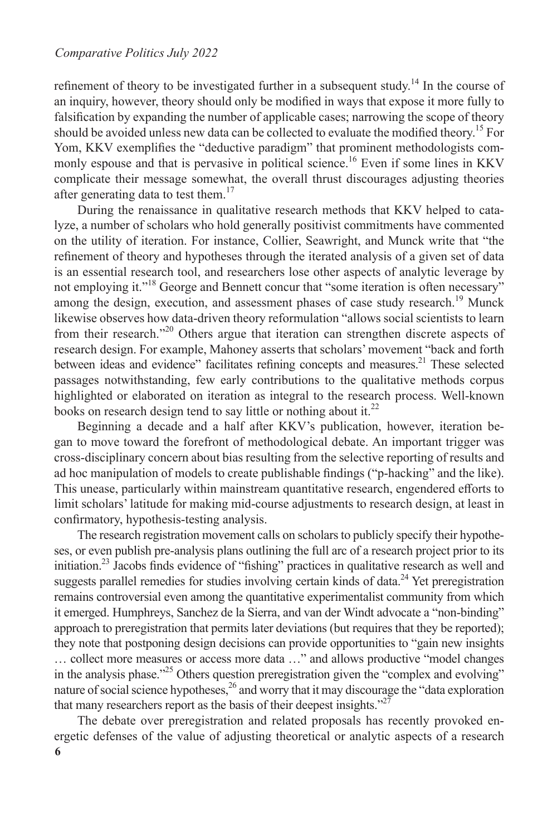refinement of theory to be investigated further in a subsequent study.<sup>14</sup> In the course of an inquiry, however, theory should only be modified in ways that expose it more fully to falsification by expanding the number of applicable cases; narrowing the scope of theory should be avoided unless new data can be collected to evaluate the modified theory.<sup>15</sup> For Yom, KKV exemplifies the "deductive paradigm" that prominent methodologists commonly espouse and that is pervasive in political science.<sup>16</sup> Even if some lines in KKV complicate their message somewhat, the overall thrust discourages adjusting theories after generating data to test them.<sup>17</sup>

During the renaissance in qualitative research methods that KKV helped to catalyze, a number of scholars who hold generally positivist commitments have commented on the utility of iteration. For instance, Collier, Seawright, and Munck write that "the refinement of theory and hypotheses through the iterated analysis of a given set of data is an essential research tool, and researchers lose other aspects of analytic leverage by not employing it."<sup>18</sup> George and Bennett concur that "some iteration is often necessary" among the design, execution, and assessment phases of case study research.<sup>19</sup> Munck likewise observes how data-driven theory reformulation "allows social scientists to learn from their research."20 Others argue that iteration can strengthen discrete aspects of research design. For example, Mahoney asserts that scholars' movement "back and forth between ideas and evidence" facilitates refining concepts and measures.<sup>21</sup> These selected passages notwithstanding, few early contributions to the qualitative methods corpus highlighted or elaborated on iteration as integral to the research process. Well-known books on research design tend to say little or nothing about it.<sup>22</sup>

Beginning a decade and a half after KKV's publication, however, iteration began to move toward the forefront of methodological debate. An important trigger was cross-disciplinary concern about bias resulting from the selective reporting of results and ad hoc manipulation of models to create publishable findings ("p-hacking" and the like). This unease, particularly within mainstream quantitative research, engendered efforts to limit scholars' latitude for making mid-course adjustments to research design, at least in confirmatory, hypothesis-testing analysis.

The research registration movement calls on scholars to publicly specify their hypotheses, or even publish pre-analysis plans outlining the full arc of a research project prior to its initiation.23 Jacobs finds evidence of "fishing" practices in qualitative research as well and suggests parallel remedies for studies involving certain kinds of data.<sup>24</sup> Yet preregistration remains controversial even among the quantitative experimentalist community from which it emerged. Humphreys, Sanchez de la Sierra, and van der Windt advocate a "non-binding" approach to preregistration that permits later deviations (but requires that they be reported); they note that postponing design decisions can provide opportunities to "gain new insights … collect more measures or access more data …" and allows productive "model changes in the analysis phase."<sup>25</sup> Others question preregistration given the "complex and evolving" nature of social science hypotheses,<sup>26</sup> and worry that it may discourage the "data exploration" that many researchers report as the basis of their deepest insights."<sup>27</sup>

**6** The debate over preregistration and related proposals has recently provoked energetic defenses of the value of adjusting theoretical or analytic aspects of a research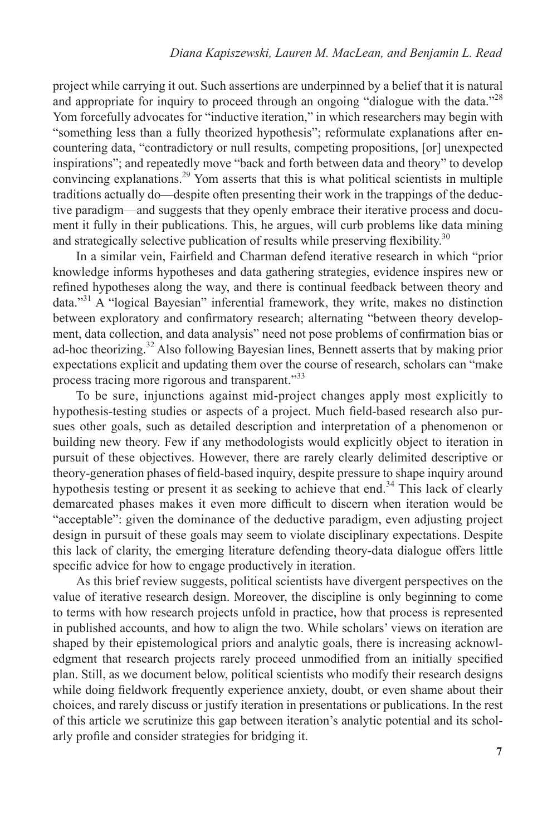project while carrying it out. Such assertions are underpinned by a belief that it is natural and appropriate for inquiry to proceed through an ongoing "dialogue with the data."<sup>28</sup> Yom forcefully advocates for "inductive iteration," in which researchers may begin with "something less than a fully theorized hypothesis"; reformulate explanations after encountering data, "contradictory or null results, competing propositions, [or] unexpected inspirations"; and repeatedly move "back and forth between data and theory" to develop convincing explanations.<sup>29</sup> Yom asserts that this is what political scientists in multiple traditions actually do—despite often presenting their work in the trappings of the deductive paradigm—and suggests that they openly embrace their iterative process and document it fully in their publications. This, he argues, will curb problems like data mining and strategically selective publication of results while preserving flexibility.<sup>30</sup>

In a similar vein, Fairfield and Charman defend iterative research in which "prior knowledge informs hypotheses and data gathering strategies, evidence inspires new or refined hypotheses along the way, and there is continual feedback between theory and data."<sup>31</sup> A "logical Bayesian" inferential framework, they write, makes no distinction between exploratory and confirmatory research; alternating "between theory development, data collection, and data analysis" need not pose problems of confirmation bias or ad-hoc theorizing.<sup>32</sup> Also following Bayesian lines, Bennett asserts that by making prior expectations explicit and updating them over the course of research, scholars can "make process tracing more rigorous and transparent."<sup>33</sup>

To be sure, injunctions against mid-project changes apply most explicitly to hypothesis-testing studies or aspects of a project. Much field-based research also pursues other goals, such as detailed description and interpretation of a phenomenon or building new theory. Few if any methodologists would explicitly object to iteration in pursuit of these objectives. However, there are rarely clearly delimited descriptive or theory-generation phases of field-based inquiry, despite pressure to shape inquiry around hypothesis testing or present it as seeking to achieve that end.<sup>34</sup> This lack of clearly demarcated phases makes it even more difficult to discern when iteration would be "acceptable": given the dominance of the deductive paradigm, even adjusting project design in pursuit of these goals may seem to violate disciplinary expectations. Despite this lack of clarity, the emerging literature defending theory-data dialogue offers little specific advice for how to engage productively in iteration.

As this brief review suggests, political scientists have divergent perspectives on the value of iterative research design. Moreover, the discipline is only beginning to come to terms with how research projects unfold in practice, how that process is represented in published accounts, and how to align the two. While scholars' views on iteration are shaped by their epistemological priors and analytic goals, there is increasing acknowledgment that research projects rarely proceed unmodified from an initially specified plan. Still, as we document below, political scientists who modify their research designs while doing fieldwork frequently experience anxiety, doubt, or even shame about their choices, and rarely discuss or justify iteration in presentations or publications. In the rest of this article we scrutinize this gap between iteration's analytic potential and its scholarly profile and consider strategies for bridging it.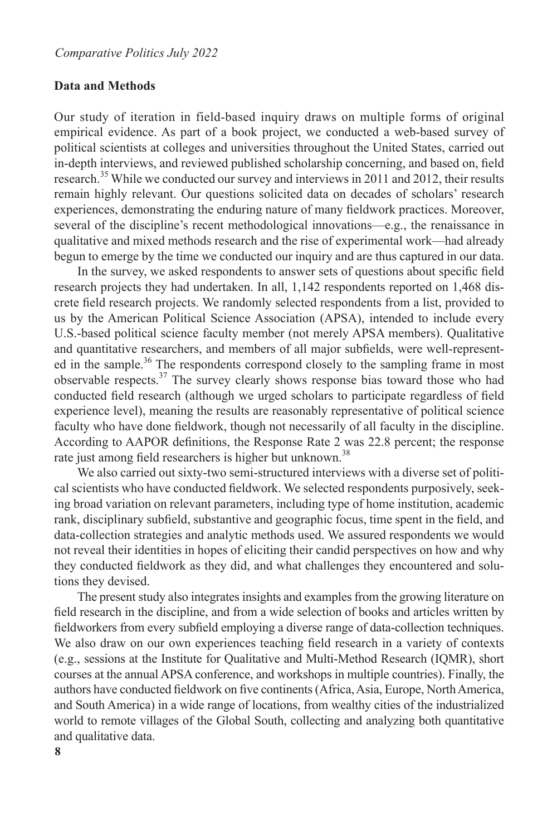#### **Data and Methods**

Our study of iteration in field-based inquiry draws on multiple forms of original empirical evidence. As part of a book project, we conducted a web-based survey of political scientists at colleges and universities throughout the United States, carried out in-depth interviews, and reviewed published scholarship concerning, and based on, field research.35 While we conducted our survey and interviews in 2011 and 2012, their results remain highly relevant. Our questions solicited data on decades of scholars' research experiences, demonstrating the enduring nature of many fieldwork practices. Moreover, several of the discipline's recent methodological innovations—e.g., the renaissance in qualitative and mixed methods research and the rise of experimental work—had already begun to emerge by the time we conducted our inquiry and are thus captured in our data.

In the survey, we asked respondents to answer sets of questions about specific field research projects they had undertaken. In all, 1,142 respondents reported on 1,468 discrete field research projects. We randomly selected respondents from a list, provided to us by the American Political Science Association (APSA), intended to include every U.S.-based political science faculty member (not merely APSA members). Qualitative and quantitative researchers, and members of all major subfields, were well-represented in the sample.<sup>36</sup> The respondents correspond closely to the sampling frame in most observable respects.37 The survey clearly shows response bias toward those who had conducted field research (although we urged scholars to participate regardless of field experience level), meaning the results are reasonably representative of political science faculty who have done fieldwork, though not necessarily of all faculty in the discipline. According to AAPOR definitions, the Response Rate 2 was 22.8 percent; the response rate just among field researchers is higher but unknown.<sup>38</sup>

We also carried out sixty-two semi-structured interviews with a diverse set of political scientists who have conducted fieldwork. We selected respondents purposively, seeking broad variation on relevant parameters, including type of home institution, academic rank, disciplinary subfield, substantive and geographic focus, time spent in the field, and data-collection strategies and analytic methods used. We assured respondents we would not reveal their identities in hopes of eliciting their candid perspectives on how and why they conducted fieldwork as they did, and what challenges they encountered and solutions they devised.

The present study also integrates insights and examples from the growing literature on field research in the discipline, and from a wide selection of books and articles written by fieldworkers from every subfield employing a diverse range of data-collection techniques. We also draw on our own experiences teaching field research in a variety of contexts (e.g., sessions at the Institute for Qualitative and Multi-Method Research (IQMR), short courses at the annual APSA conference, and workshops in multiple countries). Finally, the authors have conducted fieldwork on five continents (Africa, Asia, Europe, North America, and South America) in a wide range of locations, from wealthy cities of the industrialized world to remote villages of the Global South, collecting and analyzing both quantitative and qualitative data.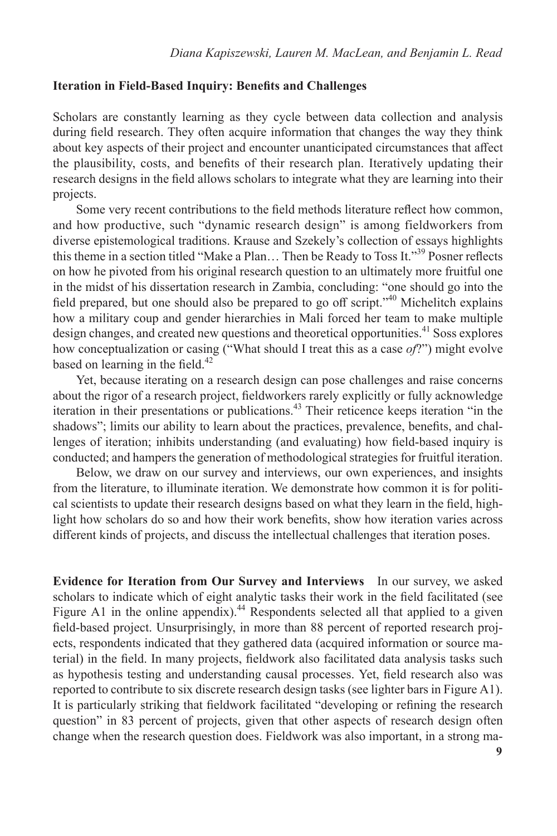# **Iteration in Field-Based Inquiry: Benefits and Challenges**

Scholars are constantly learning as they cycle between data collection and analysis during field research. They often acquire information that changes the way they think about key aspects of their project and encounter unanticipated circumstances that affect the plausibility, costs, and benefits of their research plan. Iteratively updating their research designs in the field allows scholars to integrate what they are learning into their projects.

Some very recent contributions to the field methods literature reflect how common, and how productive, such "dynamic research design" is among fieldworkers from diverse epistemological traditions. Krause and Szekely's collection of essays highlights this theme in a section titled "Make a Plan… Then be Ready to Toss It."<sup>39</sup> Posner reflects on how he pivoted from his original research question to an ultimately more fruitful one in the midst of his dissertation research in Zambia, concluding: "one should go into the field prepared, but one should also be prepared to go off script."40 Michelitch explains how a military coup and gender hierarchies in Mali forced her team to make multiple design changes, and created new questions and theoretical opportunities.<sup>41</sup> Soss explores how conceptualization or casing ("What should I treat this as a case *of*?") might evolve based on learning in the field.<sup>42</sup>

Yet, because iterating on a research design can pose challenges and raise concerns about the rigor of a research project, fieldworkers rarely explicitly or fully acknowledge iteration in their presentations or publications.<sup>43</sup> Their reticence keeps iteration "in the shadows"; limits our ability to learn about the practices, prevalence, benefits, and challenges of iteration; inhibits understanding (and evaluating) how field-based inquiry is conducted; and hampers the generation of methodological strategies for fruitful iteration.

Below, we draw on our survey and interviews, our own experiences, and insights from the literature, to illuminate iteration. We demonstrate how common it is for political scientists to update their research designs based on what they learn in the field, highlight how scholars do so and how their work benefits, show how iteration varies across different kinds of projects, and discuss the intellectual challenges that iteration poses.

**Evidence for Iteration from Our Survey and Interviews** In our survey, we asked scholars to indicate which of eight analytic tasks their work in the field facilitated (see Figure A1 in the online appendix).<sup>44</sup> Respondents selected all that applied to a given field-based project. Unsurprisingly, in more than 88 percent of reported research projects, respondents indicated that they gathered data (acquired information or source material) in the field. In many projects, fieldwork also facilitated data analysis tasks such as hypothesis testing and understanding causal processes. Yet, field research also was reported to contribute to six discrete research design tasks (see lighter bars in Figure A1). It is particularly striking that fieldwork facilitated "developing or refining the research question" in 83 percent of projects, given that other aspects of research design often change when the research question does. Fieldwork was also important, in a strong ma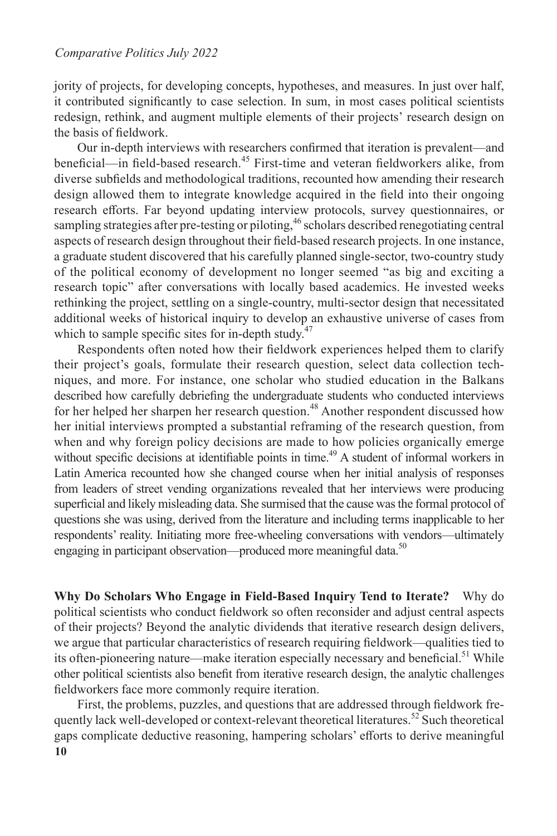jority of projects, for developing concepts, hypotheses, and measures. In just over half, it contributed significantly to case selection. In sum, in most cases political scientists redesign, rethink, and augment multiple elements of their projects' research design on the basis of fieldwork.

Our in-depth interviews with researchers confirmed that iteration is prevalent—and beneficial—in field-based research.<sup>45</sup> First-time and veteran fieldworkers alike, from diverse subfields and methodological traditions, recounted how amending their research design allowed them to integrate knowledge acquired in the field into their ongoing research efforts. Far beyond updating interview protocols, survey questionnaires, or sampling strategies after pre-testing or piloting,<sup>46</sup> scholars described renegotiating central aspects of research design throughout their field-based research projects. In one instance, a graduate student discovered that his carefully planned single-sector, two-country study of the political economy of development no longer seemed "as big and exciting a research topic" after conversations with locally based academics. He invested weeks rethinking the project, settling on a single-country, multi-sector design that necessitated additional weeks of historical inquiry to develop an exhaustive universe of cases from which to sample specific sites for in-depth study. $47$ 

Respondents often noted how their fieldwork experiences helped them to clarify their project's goals, formulate their research question, select data collection techniques, and more. For instance, one scholar who studied education in the Balkans described how carefully debriefing the undergraduate students who conducted interviews for her helped her sharpen her research question.<sup>48</sup> Another respondent discussed how her initial interviews prompted a substantial reframing of the research question, from when and why foreign policy decisions are made to how policies organically emerge without specific decisions at identifiable points in time.<sup>49</sup> A student of informal workers in Latin America recounted how she changed course when her initial analysis of responses from leaders of street vending organizations revealed that her interviews were producing superficial and likely misleading data. She surmised that the cause was the formal protocol of questions she was using, derived from the literature and including terms inapplicable to her respondents' reality. Initiating more free-wheeling conversations with vendors—ultimately engaging in participant observation—produced more meaningful data.<sup>50</sup>

**Why Do Scholars Who Engage in Field-Based Inquiry Tend to Iterate?** Why do political scientists who conduct fieldwork so often reconsider and adjust central aspects of their projects? Beyond the analytic dividends that iterative research design delivers, we argue that particular characteristics of research requiring fieldwork—qualities tied to its often-pioneering nature—make iteration especially necessary and beneficial.<sup>51</sup> While other political scientists also benefit from iterative research design, the analytic challenges fieldworkers face more commonly require iteration.

**10** First, the problems, puzzles, and questions that are addressed through fieldwork frequently lack well-developed or context-relevant theoretical literatures.<sup>52</sup> Such theoretical gaps complicate deductive reasoning, hampering scholars' efforts to derive meaningful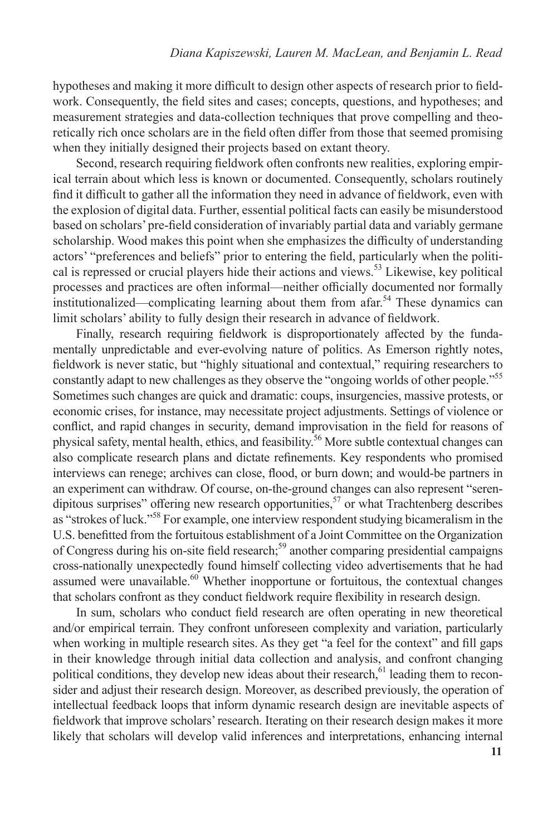hypotheses and making it more difficult to design other aspects of research prior to fieldwork. Consequently, the field sites and cases; concepts, questions, and hypotheses; and measurement strategies and data-collection techniques that prove compelling and theoretically rich once scholars are in the field often differ from those that seemed promising when they initially designed their projects based on extant theory.

Second, research requiring fieldwork often confronts new realities, exploring empirical terrain about which less is known or documented. Consequently, scholars routinely find it difficult to gather all the information they need in advance of fieldwork, even with the explosion of digital data. Further, essential political facts can easily be misunderstood based on scholars' pre-field consideration of invariably partial data and variably germane scholarship. Wood makes this point when she emphasizes the difficulty of understanding actors' "preferences and beliefs" prior to entering the field, particularly when the political is repressed or crucial players hide their actions and views.<sup>53</sup> Likewise, key political processes and practices are often informal—neither officially documented nor formally institutionalized—complicating learning about them from  $a$  far.<sup>54</sup> These dynamics can limit scholars' ability to fully design their research in advance of fieldwork.

Finally, research requiring fieldwork is disproportionately affected by the fundamentally unpredictable and ever-evolving nature of politics. As Emerson rightly notes, fieldwork is never static, but "highly situational and contextual," requiring researchers to constantly adapt to new challenges as they observe the "ongoing worlds of other people."<sup>55</sup> Sometimes such changes are quick and dramatic: coups, insurgencies, massive protests, or economic crises, for instance, may necessitate project adjustments. Settings of violence or conflict, and rapid changes in security, demand improvisation in the field for reasons of physical safety, mental health, ethics, and feasibility.56 More subtle contextual changes can also complicate research plans and dictate refinements. Key respondents who promised interviews can renege; archives can close, flood, or burn down; and would-be partners in an experiment can withdraw. Of course, on-the-ground changes can also represent "serendipitous surprises" offering new research opportunities,<sup>57</sup> or what Trachtenberg describes as "strokes of luck."<sup>58</sup> For example, one interview respondent studying bicameralism in the U.S. benefitted from the fortuitous establishment of a Joint Committee on the Organization of Congress during his on-site field research;<sup>59</sup> another comparing presidential campaigns cross-nationally unexpectedly found himself collecting video advertisements that he had assumed were unavailable. $60$  Whether inopportune or fortuitous, the contextual changes that scholars confront as they conduct fieldwork require flexibility in research design.

In sum, scholars who conduct field research are often operating in new theoretical and/or empirical terrain. They confront unforeseen complexity and variation, particularly when working in multiple research sites. As they get "a feel for the context" and fill gaps in their knowledge through initial data collection and analysis, and confront changing political conditions, they develop new ideas about their research, $61$  leading them to reconsider and adjust their research design. Moreover, as described previously, the operation of intellectual feedback loops that inform dynamic research design are inevitable aspects of fieldwork that improve scholars' research. Iterating on their research design makes it more likely that scholars will develop valid inferences and interpretations, enhancing internal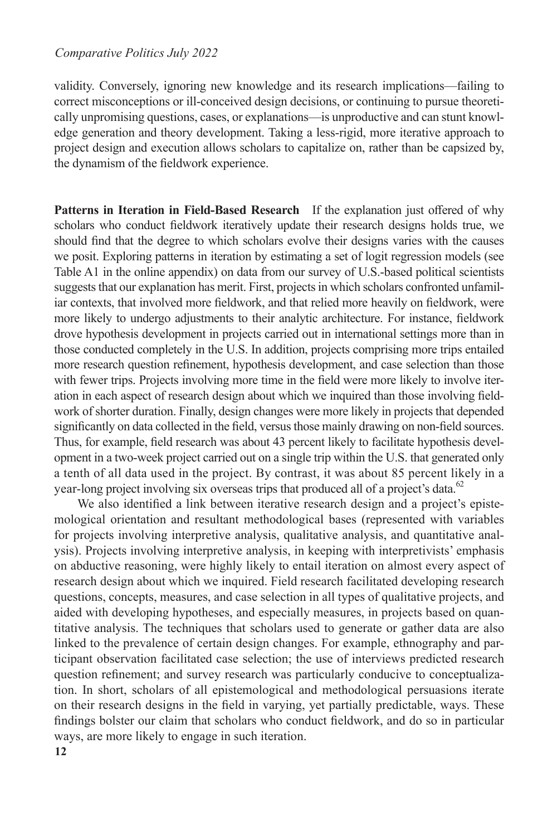validity. Conversely, ignoring new knowledge and its research implications—failing to correct misconceptions or ill-conceived design decisions, or continuing to pursue theoretically unpromising questions, cases, or explanations—is unproductive and can stunt knowledge generation and theory development. Taking a less-rigid, more iterative approach to project design and execution allows scholars to capitalize on, rather than be capsized by, the dynamism of the fieldwork experience.

**Patterns in Iteration in Field-Based Research** If the explanation just offered of why scholars who conduct fieldwork iteratively update their research designs holds true, we should find that the degree to which scholars evolve their designs varies with the causes we posit. Exploring patterns in iteration by estimating a set of logit regression models (see Table A1 in the online appendix) on data from our survey of U.S.-based political scientists suggests that our explanation has merit. First, projects in which scholars confronted unfamiliar contexts, that involved more fieldwork, and that relied more heavily on fieldwork, were more likely to undergo adjustments to their analytic architecture. For instance, fieldwork drove hypothesis development in projects carried out in international settings more than in those conducted completely in the U.S. In addition, projects comprising more trips entailed more research question refinement, hypothesis development, and case selection than those with fewer trips. Projects involving more time in the field were more likely to involve iteration in each aspect of research design about which we inquired than those involving fieldwork of shorter duration. Finally, design changes were more likely in projects that depended significantly on data collected in the field, versus those mainly drawing on non-field sources. Thus, for example, field research was about 43 percent likely to facilitate hypothesis development in a two-week project carried out on a single trip within the U.S. that generated only a tenth of all data used in the project. By contrast, it was about 85 percent likely in a year-long project involving six overseas trips that produced all of a project's data.<sup>62</sup>

We also identified a link between iterative research design and a project's epistemological orientation and resultant methodological bases (represented with variables for projects involving interpretive analysis, qualitative analysis, and quantitative analysis). Projects involving interpretive analysis, in keeping with interpretivists' emphasis on abductive reasoning, were highly likely to entail iteration on almost every aspect of research design about which we inquired. Field research facilitated developing research questions, concepts, measures, and case selection in all types of qualitative projects, and aided with developing hypotheses, and especially measures, in projects based on quantitative analysis. The techniques that scholars used to generate or gather data are also linked to the prevalence of certain design changes. For example, ethnography and participant observation facilitated case selection; the use of interviews predicted research question refinement; and survey research was particularly conducive to conceptualization. In short, scholars of all epistemological and methodological persuasions iterate on their research designs in the field in varying, yet partially predictable, ways. These findings bolster our claim that scholars who conduct fieldwork, and do so in particular ways, are more likely to engage in such iteration.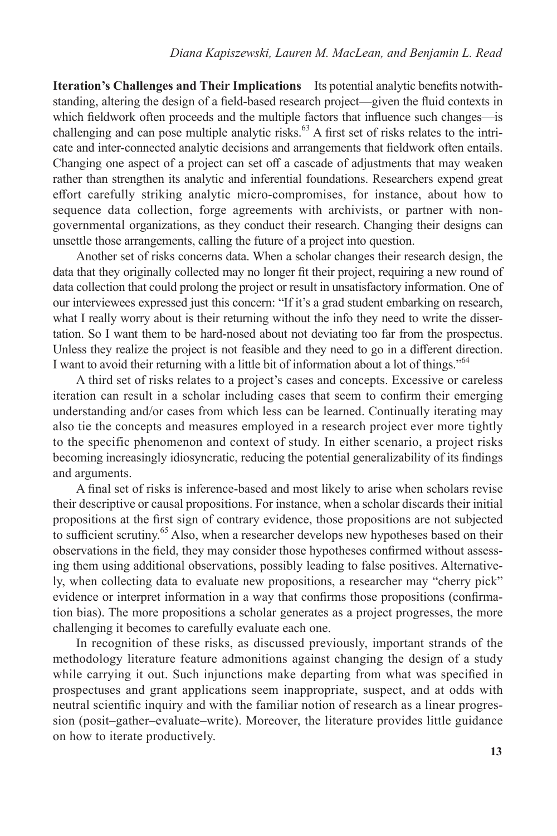**Iteration's Challenges and Their Implications** Its potential analytic benefits notwithstanding, altering the design of a field-based research project—given the fluid contexts in which fieldwork often proceeds and the multiple factors that influence such changes—is challenging and can pose multiple analytic risks. $^{63}$  A first set of risks relates to the intricate and inter-connected analytic decisions and arrangements that fieldwork often entails. Changing one aspect of a project can set off a cascade of adjustments that may weaken rather than strengthen its analytic and inferential foundations. Researchers expend great effort carefully striking analytic micro-compromises, for instance, about how to sequence data collection, forge agreements with archivists, or partner with nongovernmental organizations, as they conduct their research. Changing their designs can unsettle those arrangements, calling the future of a project into question.

Another set of risks concerns data. When a scholar changes their research design, the data that they originally collected may no longer fit their project, requiring a new round of data collection that could prolong the project or result in unsatisfactory information. One of our interviewees expressed just this concern: "If it's a grad student embarking on research, what I really worry about is their returning without the info they need to write the dissertation. So I want them to be hard-nosed about not deviating too far from the prospectus. Unless they realize the project is not feasible and they need to go in a different direction. I want to avoid their returning with a little bit of information about a lot of things."<sup>64</sup>

A third set of risks relates to a project's cases and concepts. Excessive or careless iteration can result in a scholar including cases that seem to confirm their emerging understanding and/or cases from which less can be learned. Continually iterating may also tie the concepts and measures employed in a research project ever more tightly to the specific phenomenon and context of study. In either scenario, a project risks becoming increasingly idiosyncratic, reducing the potential generalizability of its findings and arguments.

A final set of risks is inference-based and most likely to arise when scholars revise their descriptive or causal propositions. For instance, when a scholar discards their initial propositions at the first sign of contrary evidence, those propositions are not subjected to sufficient scrutiny.<sup>65</sup> Also, when a researcher develops new hypotheses based on their observations in the field, they may consider those hypotheses confirmed without assessing them using additional observations, possibly leading to false positives. Alternatively, when collecting data to evaluate new propositions, a researcher may "cherry pick" evidence or interpret information in a way that confirms those propositions (confirmation bias). The more propositions a scholar generates as a project progresses, the more challenging it becomes to carefully evaluate each one.

In recognition of these risks, as discussed previously, important strands of the methodology literature feature admonitions against changing the design of a study while carrying it out. Such injunctions make departing from what was specified in prospectuses and grant applications seem inappropriate, suspect, and at odds with neutral scientific inquiry and with the familiar notion of research as a linear progression (posit–gather–evaluate–write). Moreover, the literature provides little guidance on how to iterate productively.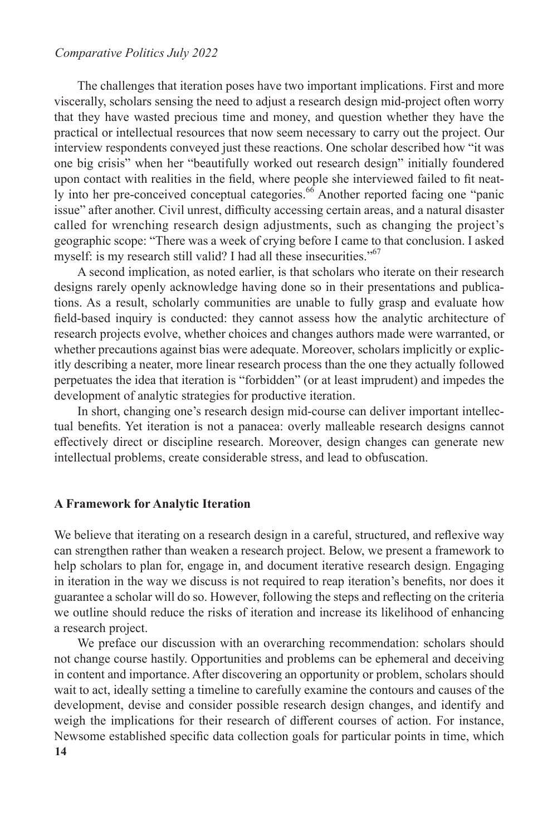#### *Comparative Politics July 2022*

The challenges that iteration poses have two important implications. First and more viscerally, scholars sensing the need to adjust a research design mid-project often worry that they have wasted precious time and money, and question whether they have the practical or intellectual resources that now seem necessary to carry out the project. Our interview respondents conveyed just these reactions. One scholar described how "it was one big crisis" when her "beautifully worked out research design" initially foundered upon contact with realities in the field, where people she interviewed failed to fit neatly into her pre-conceived conceptual categories.<sup>66</sup> Another reported facing one "panic issue" after another. Civil unrest, difficulty accessing certain areas, and a natural disaster called for wrenching research design adjustments, such as changing the project's geographic scope: "There was a week of crying before I came to that conclusion. I asked myself: is my research still valid? I had all these insecurities."<sup>67</sup>

A second implication, as noted earlier, is that scholars who iterate on their research designs rarely openly acknowledge having done so in their presentations and publications. As a result, scholarly communities are unable to fully grasp and evaluate how field-based inquiry is conducted: they cannot assess how the analytic architecture of research projects evolve, whether choices and changes authors made were warranted, or whether precautions against bias were adequate. Moreover, scholars implicitly or explicitly describing a neater, more linear research process than the one they actually followed perpetuates the idea that iteration is "forbidden" (or at least imprudent) and impedes the development of analytic strategies for productive iteration.

In short, changing one's research design mid-course can deliver important intellectual benefits. Yet iteration is not a panacea: overly malleable research designs cannot effectively direct or discipline research. Moreover, design changes can generate new intellectual problems, create considerable stress, and lead to obfuscation.

#### **A Framework for Analytic Iteration**

We believe that iterating on a research design in a careful, structured, and reflexive way can strengthen rather than weaken a research project. Below, we present a framework to help scholars to plan for, engage in, and document iterative research design. Engaging in iteration in the way we discuss is not required to reap iteration's benefits, nor does it guarantee a scholar will do so. However, following the steps and reflecting on the criteria we outline should reduce the risks of iteration and increase its likelihood of enhancing a research project.

**14** We preface our discussion with an overarching recommendation: scholars should not change course hastily. Opportunities and problems can be ephemeral and deceiving in content and importance. After discovering an opportunity or problem, scholars should wait to act, ideally setting a timeline to carefully examine the contours and causes of the development, devise and consider possible research design changes, and identify and weigh the implications for their research of different courses of action. For instance, Newsome established specific data collection goals for particular points in time, which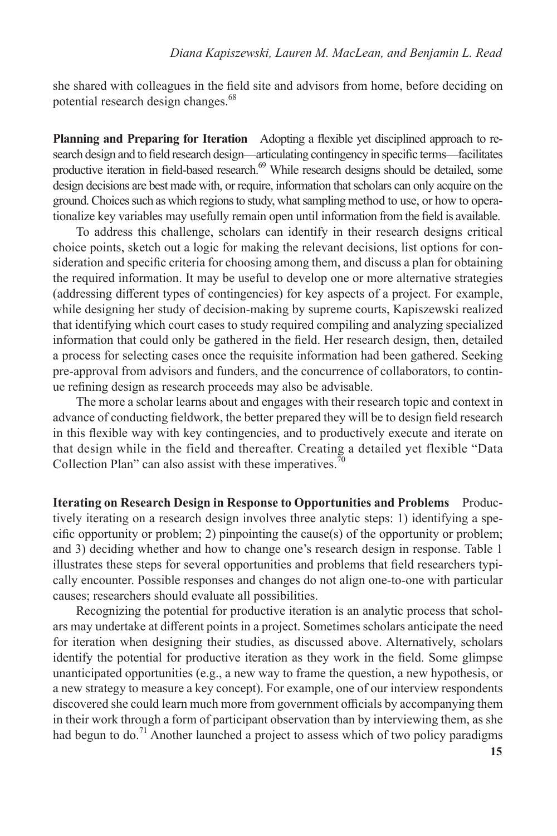she shared with colleagues in the field site and advisors from home, before deciding on potential research design changes.<sup>68</sup>

**Planning and Preparing for Iteration** Adopting a flexible yet disciplined approach to research design and to field research design—articulating contingency in specific terms—facilitates productive iteration in field-based research.<sup>69</sup> While research designs should be detailed, some design decisions are best made with, or require, information that scholars can only acquire on the ground. Choices such as which regions to study, what sampling method to use, or how to operationalize key variables may usefully remain open until information from the field is available.

To address this challenge, scholars can identify in their research designs critical choice points, sketch out a logic for making the relevant decisions, list options for consideration and specific criteria for choosing among them, and discuss a plan for obtaining the required information. It may be useful to develop one or more alternative strategies (addressing different types of contingencies) for key aspects of a project. For example, while designing her study of decision-making by supreme courts, Kapiszewski realized that identifying which court cases to study required compiling and analyzing specialized information that could only be gathered in the field. Her research design, then, detailed a process for selecting cases once the requisite information had been gathered. Seeking pre-approval from advisors and funders, and the concurrence of collaborators, to continue refining design as research proceeds may also be advisable.

The more a scholar learns about and engages with their research topic and context in advance of conducting fieldwork, the better prepared they will be to design field research in this flexible way with key contingencies, and to productively execute and iterate on that design while in the field and thereafter. Creating a detailed yet flexible "Data Collection Plan" can also assist with these imperatives.<sup>70</sup>

**Iterating on Research Design in Response to Opportunities and Problems** Productively iterating on a research design involves three analytic steps: 1) identifying a specific opportunity or problem; 2) pinpointing the cause(s) of the opportunity or problem; and 3) deciding whether and how to change one's research design in response. Table 1 illustrates these steps for several opportunities and problems that field researchers typically encounter. Possible responses and changes do not align one-to-one with particular causes; researchers should evaluate all possibilities.

Recognizing the potential for productive iteration is an analytic process that scholars may undertake at different points in a project. Sometimes scholars anticipate the need for iteration when designing their studies, as discussed above. Alternatively, scholars identify the potential for productive iteration as they work in the field. Some glimpse unanticipated opportunities (e.g., a new way to frame the question, a new hypothesis, or a new strategy to measure a key concept). For example, one of our interview respondents discovered she could learn much more from government officials by accompanying them in their work through a form of participant observation than by interviewing them, as she had begun to do.<sup>71</sup> Another launched a project to assess which of two policy paradigms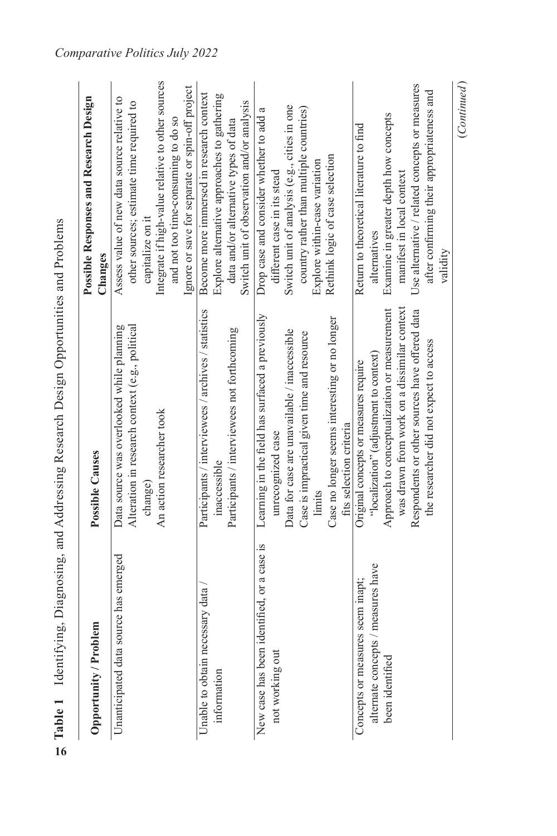|                                                                                           | Table 1 Identifying, Diagnosing, and Addressing Research Design Opportunities and Problems                                                                                                                                                                                  |                                                                                                                                                                                                                                                            |
|-------------------------------------------------------------------------------------------|-----------------------------------------------------------------------------------------------------------------------------------------------------------------------------------------------------------------------------------------------------------------------------|------------------------------------------------------------------------------------------------------------------------------------------------------------------------------------------------------------------------------------------------------------|
| Opportunity / Problem                                                                     | <b>Possible Causes</b>                                                                                                                                                                                                                                                      | Possible Responses and Research Design<br>Changes                                                                                                                                                                                                          |
| Unanticipated data source has emerged                                                     | Alteration in research context (e.g., political<br>Data source was overlooked while planning<br>An action researcher took<br>change)                                                                                                                                        | Integrate if high-value relative to other sources<br>Ignore or save for separate or spin-off project<br>Assess value of new data source relative to<br>other sources; estimate time required to<br>and not too time-consuming to do so<br>capitalize on it |
| Unable to obtain necessary data<br>information                                            | Participants / interviewees / archives / statistics<br>Participants / interviewees not forthcoming<br>inaccessible                                                                                                                                                          | Become more immersed in research context<br>Explore alternative approaches to gathering<br>Switch unit of observation and/or analysis<br>data and/or alternative types of data                                                                             |
| New case has been identified, or a case is<br>not working out                             | Learning in the field has surfaced a previously<br>Case no longer seems interesting or no longer<br>Data for case are unavailable / inaccessible<br>Case is impractical given time and resource<br>fits selection criteria<br>unrecognized case<br>limits                   | Switch unit of analysis (e.g., cities in one<br>country rather than multiple countries)<br>Drop case and consider whether to add a<br>Rethink logic of case selection<br>Explore within-case variation<br>different case in its stead                      |
| alternate concepts / measures have<br>Concepts or measures seem inapt;<br>been identified | was drawn from work on a dissimilar context<br>Approach to conceptualization or measurement<br>Respondents or other sources have offered data<br>the researcher did not expect to access<br>"localization" (adjustment to context)<br>Original concepts or measures require | Use alternative / related concepts or measures<br>after confirming their appropriateness and<br>Examine in greater depth how concepts<br>Return to theoretical literature to find<br>manifest in local context<br>alternatives<br>validity                 |
|                                                                                           |                                                                                                                                                                                                                                                                             | (Continued)                                                                                                                                                                                                                                                |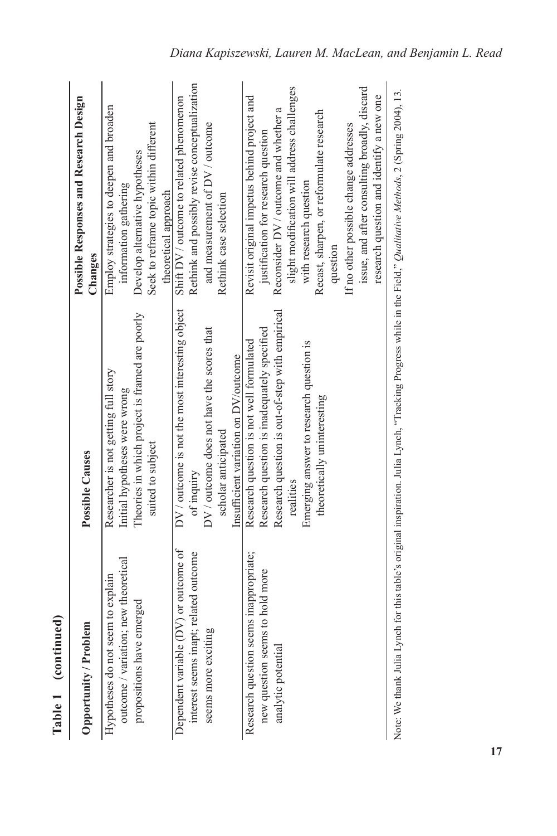| Table 1 (continued)                                                                                    |                                                                                                                                                                                                                                   |                                                                                                                                                                                                                                                                                                                                                                                                   |
|--------------------------------------------------------------------------------------------------------|-----------------------------------------------------------------------------------------------------------------------------------------------------------------------------------------------------------------------------------|---------------------------------------------------------------------------------------------------------------------------------------------------------------------------------------------------------------------------------------------------------------------------------------------------------------------------------------------------------------------------------------------------|
| Opportunity / Problem                                                                                  | Possible Causes                                                                                                                                                                                                                   | Possible Responses and Research Design<br>Changes                                                                                                                                                                                                                                                                                                                                                 |
| outcome / variation; new theoretical<br>Hypotheses do not seem to explain<br>propositions have emerged | Theories in which project is framed are poorly<br>Researcher is not getting full story<br>Initial hypotheses were wrong<br>suited to subject                                                                                      | Employ strategies to deepen and broaden<br>Seek to reframe topic within different<br>Develop alternative hypotheses<br>information gathering<br>theoretical approach                                                                                                                                                                                                                              |
| Dependent variable (DV) or outcome of<br>interest seems inapt; related outcome<br>seems more exciting  | DV / outcome is not the most interesting object<br>DV / outcome does not have the scores that<br>Insufficient variation on DV/outcome<br>scholar anticipated<br>of inquiry                                                        | Rethink and possibly revise conceptualization<br>Shift DV / outcome to related phenomenon<br>and measurement of DV / outcome<br>Rethink case selection                                                                                                                                                                                                                                            |
| Research question seems inappropriate;<br>new question seems to hold more<br>analytic potential        | Research question is out-of-step with empirical<br>Research question is inadequately specified<br>Research question is not well formulated<br>Emerging answer to research question is<br>theoretically uninteresting<br>realities | slight modification will address challenges<br>issue, and after consulting broadly, discard<br>research question and identify a new one<br>Revisit original impetus behind project and<br>Reconsider DV / outcome and whether a<br>Recast, sharpen, or reformulate research<br>If no other possible change addresses<br>justification for research question<br>with research question<br>question |
|                                                                                                        | Note: We thank Julia Lynch for this table's original inspiration. Julia Lynch, "Tracking Progress while in the Field," Qualitative Methods, 2 (Spring 2004), 13.                                                                  |                                                                                                                                                                                                                                                                                                                                                                                                   |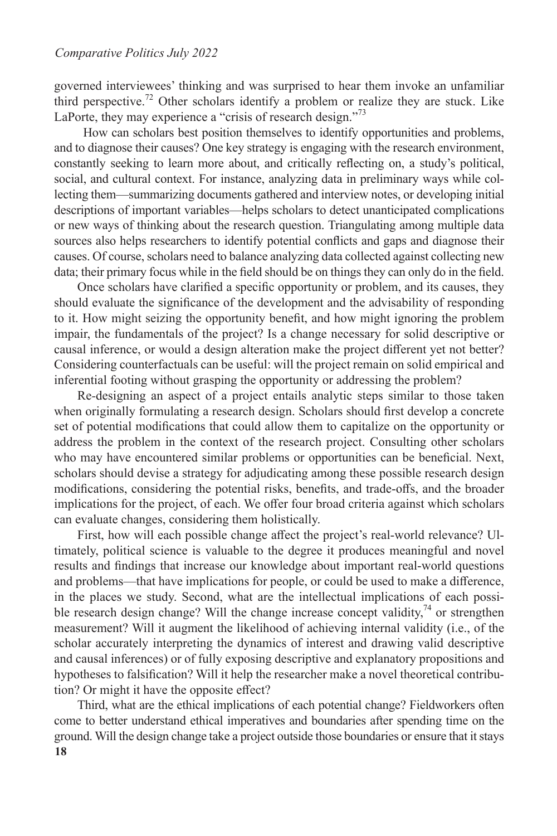governed interviewees' thinking and was surprised to hear them invoke an unfamiliar third perspective.<sup>72</sup> Other scholars identify a problem or realize they are stuck. Like LaPorte, they may experience a "crisis of research design."<sup>73</sup>

How can scholars best position themselves to identify opportunities and problems, and to diagnose their causes? One key strategy is engaging with the research environment, constantly seeking to learn more about, and critically reflecting on, a study's political, social, and cultural context. For instance, analyzing data in preliminary ways while collecting them—summarizing documents gathered and interview notes, or developing initial descriptions of important variables—helps scholars to detect unanticipated complications or new ways of thinking about the research question. Triangulating among multiple data sources also helps researchers to identify potential conflicts and gaps and diagnose their causes. Of course, scholars need to balance analyzing data collected against collecting new data; their primary focus while in the field should be on things they can only do in the field.

Once scholars have clarified a specific opportunity or problem, and its causes, they should evaluate the significance of the development and the advisability of responding to it. How might seizing the opportunity benefit, and how might ignoring the problem impair, the fundamentals of the project? Is a change necessary for solid descriptive or causal inference, or would a design alteration make the project different yet not better? Considering counterfactuals can be useful: will the project remain on solid empirical and inferential footing without grasping the opportunity or addressing the problem?

Re*-*designing an aspect of a project entails analytic steps similar to those taken when originally formulating a research design. Scholars should first develop a concrete set of potential modifications that could allow them to capitalize on the opportunity or address the problem in the context of the research project. Consulting other scholars who may have encountered similar problems or opportunities can be beneficial. Next, scholars should devise a strategy for adjudicating among these possible research design modifications, considering the potential risks, benefits, and trade-offs, and the broader implications for the project, of each. We offer four broad criteria against which scholars can evaluate changes, considering them holistically.

First, how will each possible change affect the project's real-world relevance? Ultimately, political science is valuable to the degree it produces meaningful and novel results and findings that increase our knowledge about important real-world questions and problems—that have implications for people, or could be used to make a difference, in the places we study. Second, what are the intellectual implications of each possible research design change? Will the change increase concept validity,  $\frac{1}{4}$  or strengthen measurement? Will it augment the likelihood of achieving internal validity (i.e., of the scholar accurately interpreting the dynamics of interest and drawing valid descriptive and causal inferences) or of fully exposing descriptive and explanatory propositions and hypotheses to falsification? Will it help the researcher make a novel theoretical contribution? Or might it have the opposite effect?

**18** Third, what are the ethical implications of each potential change? Fieldworkers often come to better understand ethical imperatives and boundaries after spending time on the ground. Will the design change take a project outside those boundaries or ensure that it stays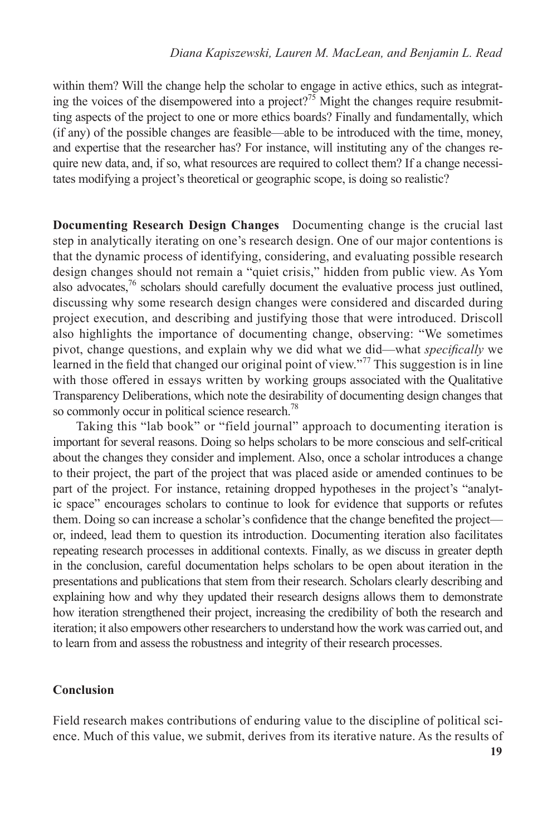within them? Will the change help the scholar to engage in active ethics, such as integrating the voices of the disempowered into a project?<sup>75</sup> Might the changes require resubmitting aspects of the project to one or more ethics boards? Finally and fundamentally, which (if any) of the possible changes are feasible—able to be introduced with the time, money, and expertise that the researcher has? For instance, will instituting any of the changes require new data, and, if so, what resources are required to collect them? If a change necessitates modifying a project's theoretical or geographic scope, is doing so realistic?

**Documenting Research Design Changes** Documenting change is the crucial last step in analytically iterating on one's research design. One of our major contentions is that the dynamic process of identifying, considering, and evaluating possible research design changes should not remain a "quiet crisis," hidden from public view. As Yom also advocates, $^{76}$  scholars should carefully document the evaluative process just outlined, discussing why some research design changes were considered and discarded during project execution, and describing and justifying those that were introduced. Driscoll also highlights the importance of documenting change, observing: "We sometimes pivot, change questions, and explain why we did what we did—what *specifically* we learned in the field that changed our original point of view."<sup>77</sup> This suggestion is in line with those offered in essays written by working groups associated with the Qualitative Transparency Deliberations, which note the desirability of documenting design changes that so commonly occur in political science research.<sup>78</sup>

Taking this "lab book" or "field journal" approach to documenting iteration is important for several reasons. Doing so helps scholars to be more conscious and self-critical about the changes they consider and implement. Also, once a scholar introduces a change to their project, the part of the project that was placed aside or amended continues to be part of the project. For instance, retaining dropped hypotheses in the project's "analytic space" encourages scholars to continue to look for evidence that supports or refutes them. Doing so can increase a scholar's confidence that the change benefited the project or, indeed, lead them to question its introduction. Documenting iteration also facilitates repeating research processes in additional contexts. Finally, as we discuss in greater depth in the conclusion, careful documentation helps scholars to be open about iteration in the presentations and publications that stem from their research. Scholars clearly describing and explaining how and why they updated their research designs allows them to demonstrate how iteration strengthened their project, increasing the credibility of both the research and iteration; it also empowers other researchers to understand how the work was carried out, and to learn from and assess the robustness and integrity of their research processes.

## **Conclusion**

Field research makes contributions of enduring value to the discipline of political science. Much of this value, we submit, derives from its iterative nature. As the results of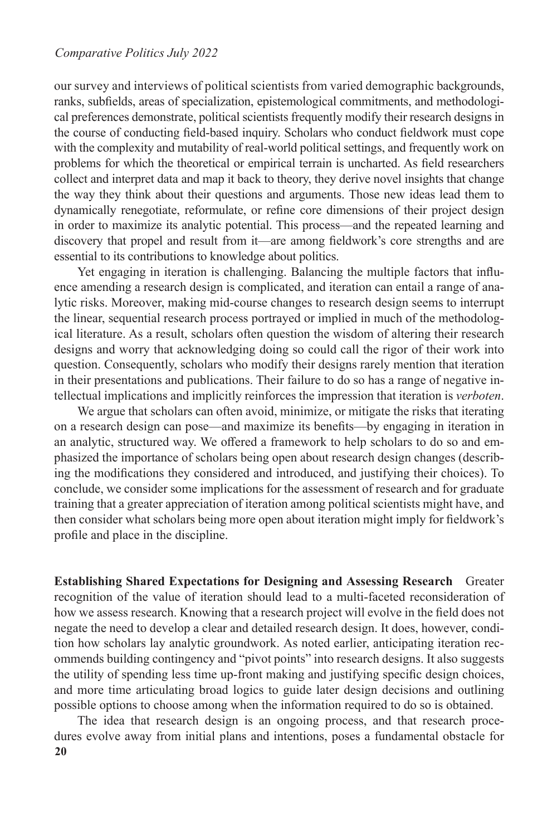#### *Comparative Politics July 2022*

our survey and interviews of political scientists from varied demographic backgrounds, ranks, subfields, areas of specialization, epistemological commitments, and methodological preferences demonstrate, political scientists frequently modify their research designs in the course of conducting field-based inquiry. Scholars who conduct fieldwork must cope with the complexity and mutability of real-world political settings, and frequently work on problems for which the theoretical or empirical terrain is uncharted. As field researchers collect and interpret data and map it back to theory, they derive novel insights that change the way they think about their questions and arguments. Those new ideas lead them to dynamically renegotiate, reformulate, or refine core dimensions of their project design in order to maximize its analytic potential. This process—and the repeated learning and discovery that propel and result from it—are among fieldwork's core strengths and are essential to its contributions to knowledge about politics.

Yet engaging in iteration is challenging. Balancing the multiple factors that influence amending a research design is complicated, and iteration can entail a range of analytic risks. Moreover, making mid-course changes to research design seems to interrupt the linear, sequential research process portrayed or implied in much of the methodological literature. As a result, scholars often question the wisdom of altering their research designs and worry that acknowledging doing so could call the rigor of their work into question. Consequently, scholars who modify their designs rarely mention that iteration in their presentations and publications. Their failure to do so has a range of negative intellectual implications and implicitly reinforces the impression that iteration is *verboten*.

We argue that scholars can often avoid, minimize, or mitigate the risks that iterating on a research design can pose—and maximize its benefits—by engaging in iteration in an analytic, structured way. We offered a framework to help scholars to do so and emphasized the importance of scholars being open about research design changes (describing the modifications they considered and introduced, and justifying their choices). To conclude, we consider some implications for the assessment of research and for graduate training that a greater appreciation of iteration among political scientists might have, and then consider what scholars being more open about iteration might imply for fieldwork's profile and place in the discipline.

**Establishing Shared Expectations for Designing and Assessing Research** Greater recognition of the value of iteration should lead to a multi-faceted reconsideration of how we assess research. Knowing that a research project will evolve in the field does not negate the need to develop a clear and detailed research design. It does, however, condition how scholars lay analytic groundwork. As noted earlier, anticipating iteration recommends building contingency and "pivot points" into research designs. It also suggests the utility of spending less time up-front making and justifying specific design choices, and more time articulating broad logics to guide later design decisions and outlining possible options to choose among when the information required to do so is obtained.

**20** The idea that research design is an ongoing process, and that research procedures evolve away from initial plans and intentions, poses a fundamental obstacle for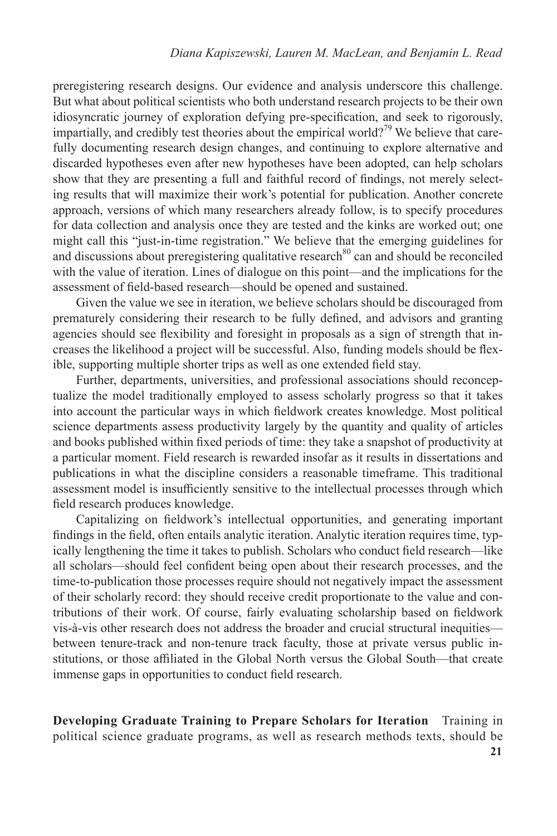preregistering research designs. Our evidence and analysis underscore this challenge. But what about political scientists who both understand research projects to be their own idiosyncratic journey of exploration defying pre-specification, and seek to rigorously, impartially, and credibly test theories about the empirical world?<sup>79</sup> We believe that carefully documenting research design changes, and continuing to explore alternative and discarded hypotheses even after new hypotheses have been adopted, can help scholars show that they are presenting a full and faithful record of findings, not merely selecting results that will maximize their work's potential for publication. Another concrete approach, versions of which many researchers already follow, is to specify procedures for data collection and analysis once they are tested and the kinks are worked out; one might call this "just-in-time registration." We believe that the emerging guidelines for and discussions about preregistering qualitative research<sup>80</sup> can and should be reconciled with the value of iteration. Lines of dialogue on this point—and the implications for the assessment of field-based research—should be opened and sustained.

Given the value we see in iteration, we believe scholars should be discouraged from prematurely considering their research to be fully defined, and advisors and granting agencies should see flexibility and foresight in proposals as a sign of strength that increases the likelihood a project will be successful. Also, funding models should be flexible, supporting multiple shorter trips as well as one extended field stay.

Further, departments, universities, and professional associations should reconceptualize the model traditionally employed to assess scholarly progress so that it takes into account the particular ways in which fieldwork creates knowledge. Most political science departments assess productivity largely by the quantity and quality of articles and books published within fixed periods of time: they take a snapshot of productivity at a particular moment. Field research is rewarded insofar as it results in dissertations and publications in what the discipline considers a reasonable timeframe. This traditional assessment model is insufficiently sensitive to the intellectual processes through which field research produces knowledge.

Capitalizing on fieldwork's intellectual opportunities, and generating important findings in the field, often entails analytic iteration. Analytic iteration requires time, typically lengthening the time it takes to publish. Scholars who conduct field research—like all scholars—should feel confident being open about their research processes, and the time-to-publication those processes require should not negatively impact the assessment of their scholarly record: they should receive credit proportionate to the value and contributions of their work. Of course, fairly evaluating scholarship based on fieldwork vis-à-vis other research does not address the broader and crucial structural inequities between tenure-track and non-tenure track faculty, those at private versus public institutions, or those affiliated in the Global North versus the Global South—that create immense gaps in opportunities to conduct field research.

**Developing Graduate Training to Prepare Scholars for Iteration** Training in political science graduate programs, as well as research methods texts, should be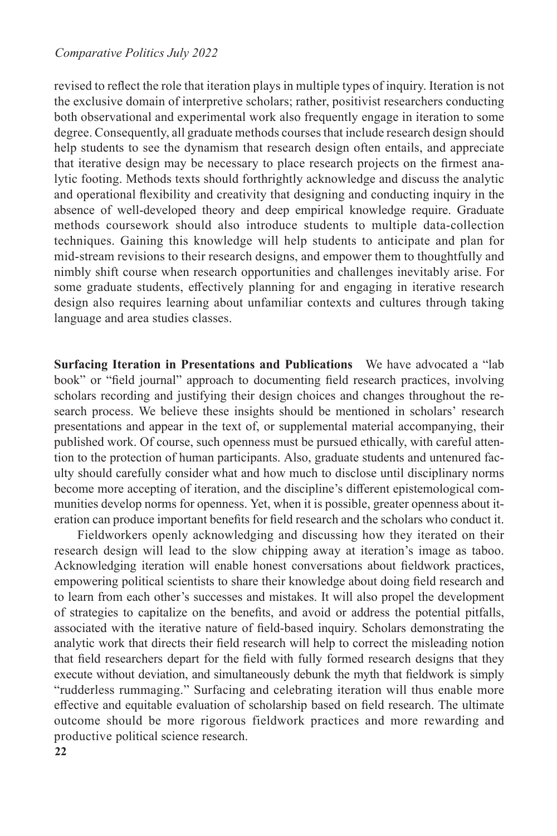#### *Comparative Politics July 2022*

revised to reflect the role that iteration plays in multiple types of inquiry. Iteration is not the exclusive domain of interpretive scholars; rather, positivist researchers conducting both observational and experimental work also frequently engage in iteration to some degree. Consequently, all graduate methods courses that include research design should help students to see the dynamism that research design often entails, and appreciate that iterative design may be necessary to place research projects on the firmest analytic footing. Methods texts should forthrightly acknowledge and discuss the analytic and operational flexibility and creativity that designing and conducting inquiry in the absence of well-developed theory and deep empirical knowledge require. Graduate methods coursework should also introduce students to multiple data-collection techniques. Gaining this knowledge will help students to anticipate and plan for mid-stream revisions to their research designs, and empower them to thoughtfully and nimbly shift course when research opportunities and challenges inevitably arise. For some graduate students, effectively planning for and engaging in iterative research design also requires learning about unfamiliar contexts and cultures through taking language and area studies classes.

**Surfacing Iteration in Presentations and Publications** We have advocated a "lab book" or "field journal" approach to documenting field research practices, involving scholars recording and justifying their design choices and changes throughout the research process. We believe these insights should be mentioned in scholars' research presentations and appear in the text of, or supplemental material accompanying, their published work. Of course, such openness must be pursued ethically, with careful attention to the protection of human participants. Also, graduate students and untenured faculty should carefully consider what and how much to disclose until disciplinary norms become more accepting of iteration, and the discipline's different epistemological communities develop norms for openness. Yet, when it is possible, greater openness about iteration can produce important benefits for field research and the scholars who conduct it.

Fieldworkers openly acknowledging and discussing how they iterated on their research design will lead to the slow chipping away at iteration's image as taboo. Acknowledging iteration will enable honest conversations about fieldwork practices, empowering political scientists to share their knowledge about doing field research and to learn from each other's successes and mistakes. It will also propel the development of strategies to capitalize on the benefits, and avoid or address the potential pitfalls, associated with the iterative nature of field-based inquiry. Scholars demonstrating the analytic work that directs their field research will help to correct the misleading notion that field researchers depart for the field with fully formed research designs that they execute without deviation, and simultaneously debunk the myth that fieldwork is simply "rudderless rummaging." Surfacing and celebrating iteration will thus enable more effective and equitable evaluation of scholarship based on field research. The ultimate outcome should be more rigorous fieldwork practices and more rewarding and productive political science research.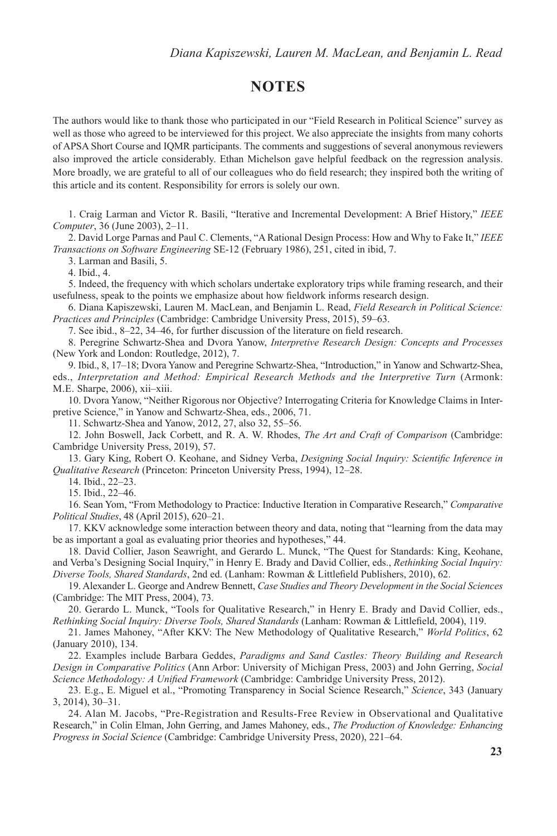# **NOTES**

The authors would like to thank those who participated in our "Field Research in Political Science" survey as well as those who agreed to be interviewed for this project. We also appreciate the insights from many cohorts of APSA Short Course and IQMR participants. The comments and suggestions of several anonymous reviewers also improved the article considerably. Ethan Michelson gave helpful feedback on the regression analysis. More broadly, we are grateful to all of our colleagues who do field research; they inspired both the writing of this article and its content. Responsibility for errors is solely our own.

1. Craig Larman and Victor R. Basili, "Iterative and Incremental Development: A Brief History," *IEEE Computer*, 36 (June 2003), 2–11.

2. David Lorge Parnas and Paul C. Clements, "A Rational Design Process: How and Why to Fake It," *IEEE Transactions on Software Engineering* SE-12 (February 1986), 251, cited in ibid, 7.

3. Larman and Basili, 5.

4. Ibid., 4.

5. Indeed, the frequency with which scholars undertake exploratory trips while framing research, and their usefulness, speak to the points we emphasize about how fieldwork informs research design.

6. Diana Kapiszewski, Lauren M. MacLean, and Benjamin L. Read, *Field Research in Political Science: Practices and Principles* (Cambridge: Cambridge University Press, 2015), 59–63.

7. See ibid., 8–22, 34–46, for further discussion of the literature on field research.

8. Peregrine Schwartz-Shea and Dvora Yanow, *Interpretive Research Design: Concepts and Processes* (New York and London: Routledge, 2012), 7.

9. Ibid., 8, 17–18; Dvora Yanow and Peregrine Schwartz-Shea, "Introduction," in Yanow and Schwartz-Shea, eds., *Interpretation and Method: Empirical Research Methods and the Interpretive Turn* (Armonk: M.E. Sharpe, 2006), xii–xiii.

10. Dvora Yanow, "Neither Rigorous nor Objective? Interrogating Criteria for Knowledge Claims in Interpretive Science," in Yanow and Schwartz-Shea, eds., 2006, 71.

11. Schwartz-Shea and Yanow, 2012, 27, also 32, 55–56.

12. John Boswell, Jack Corbett, and R. A. W. Rhodes, *The Art and Craft of Comparison* (Cambridge: Cambridge University Press, 2019), 57.

13. Gary King, Robert O. Keohane, and Sidney Verba, *Designing Social Inquiry: Scientific Inference in Qualitative Research* (Princeton: Princeton University Press, 1994), 12–28.

14. Ibid., 22–23.

15. Ibid., 22–46.

16. Sean Yom, "From Methodology to Practice: Inductive Iteration in Comparative Research," *Comparative Political Studies*, 48 (April 2015), 620–21.

17. KKV acknowledge some interaction between theory and data, noting that "learning from the data may be as important a goal as evaluating prior theories and hypotheses," 44.

18. David Collier, Jason Seawright, and Gerardo L. Munck, "The Quest for Standards: King, Keohane, and Verba's Designing Social Inquiry," in Henry E. Brady and David Collier, eds., *Rethinking Social Inquiry: Diverse Tools, Shared Standards*, 2nd ed. (Lanham: Rowman & Littlefield Publishers, 2010), 62.

19. Alexander L. George and Andrew Bennett, *Case Studies and Theory Development in the Social Sciences* (Cambridge: The MIT Press, 2004), 73.

20. Gerardo L. Munck, "Tools for Qualitative Research," in Henry E. Brady and David Collier, eds., *Rethinking Social Inquiry: Diverse Tools, Shared Standards* (Lanham: Rowman & Littlefield, 2004), 119.

21. James Mahoney, "After KKV: The New Methodology of Qualitative Research," *World Politics*, 62 (January 2010), 134.

22. Examples include Barbara Geddes, *Paradigms and Sand Castles: Theory Building and Research Design in Comparative Politics* (Ann Arbor: University of Michigan Press, 2003) and John Gerring, *Social Science Methodology: A Unified Framework* (Cambridge: Cambridge University Press, 2012).

23. E.g., E. Miguel et al., "Promoting Transparency in Social Science Research," *Science*, 343 (January 3, 2014), 30–31.

24. Alan M. Jacobs, "Pre-Registration and Results-Free Review in Observational and Qualitative Research," in Colin Elman, John Gerring, and James Mahoney, eds., *The Production of Knowledge: Enhancing Progress in Social Science* (Cambridge: Cambridge University Press, 2020), 221–64.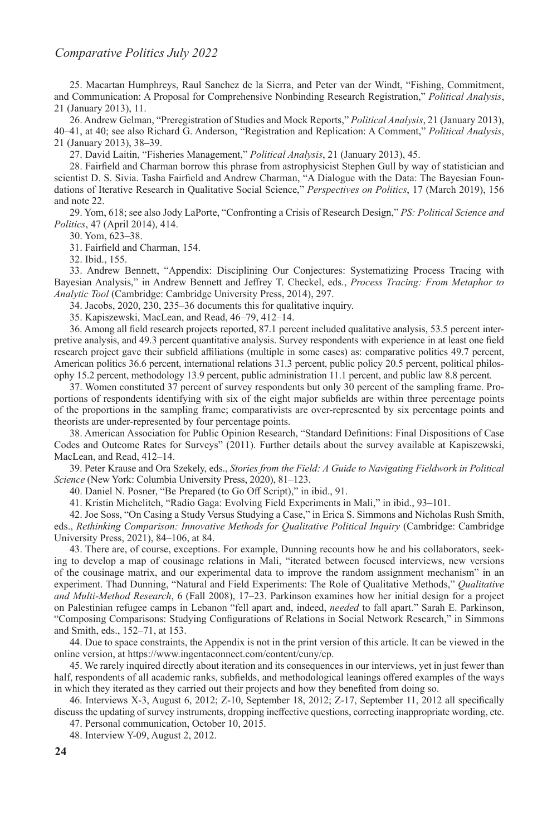25. Macartan Humphreys, Raul Sanchez de la Sierra, and Peter van der Windt, "Fishing, Commitment, and Communication: A Proposal for Comprehensive Nonbinding Research Registration," *Political Analysis*, 21 (January 2013), 11.

26. Andrew Gelman, "Preregistration of Studies and Mock Reports," *Political Analysis*, 21 (January 2013), 40–41, at 40; see also Richard G. Anderson, "Registration and Replication: A Comment," *Political Analysis*, 21 (January 2013), 38–39.

27. David Laitin, "Fisheries Management," *Political Analysis*, 21 (January 2013), 45.

28. Fairfield and Charman borrow this phrase from astrophysicist Stephen Gull by way of statistician and scientist D. S. Sivia. Tasha Fairfield and Andrew Charman, "A Dialogue with the Data: The Bayesian Foundations of Iterative Research in Qualitative Social Science," *Perspectives on Politics*, 17 (March 2019), 156 and note 22.

29. Yom, 618; see also Jody LaPorte, "Confronting a Crisis of Research Design," *PS: Political Science and Politics*, 47 (April 2014), 414.

30. Yom, 623–38.

31. Fairfield and Charman, 154.

32. Ibid., 155.

33. Andrew Bennett, "Appendix: Disciplining Our Conjectures: Systematizing Process Tracing with Bayesian Analysis," in Andrew Bennett and Jeffrey T. Checkel, eds., *Process Tracing: From Metaphor to Analytic Tool* (Cambridge: Cambridge University Press, 2014), 297.

34. Jacobs, 2020, 230, 235–36 documents this for qualitative inquiry.

35. Kapiszewski, MacLean, and Read, 46–79, 412–14.

36. Among all field research projects reported, 87.1 percent included qualitative analysis, 53.5 percent interpretive analysis, and 49.3 percent quantitative analysis. Survey respondents with experience in at least one field research project gave their subfield affiliations (multiple in some cases) as: comparative politics 49.7 percent, American politics 36.6 percent, international relations 31.3 percent, public policy 20.5 percent, political philosophy 15.2 percent, methodology 13.9 percent, public administration 11.1 percent, and public law 8.8 percent.

37. Women constituted 37 percent of survey respondents but only 30 percent of the sampling frame. Proportions of respondents identifying with six of the eight major subfields are within three percentage points of the proportions in the sampling frame; comparativists are over-represented by six percentage points and theorists are under-represented by four percentage points.

38. American Association for Public Opinion Research, "Standard Definitions: Final Dispositions of Case Codes and Outcome Rates for Surveys" (2011). Further details about the survey available at Kapiszewski, MacLean, and Read, 412–14.

39. Peter Krause and Ora Szekely, eds., *Stories from the Field: A Guide to Navigating Fieldwork in Political Science* (New York: Columbia University Press, 2020), 81–123.

40. Daniel N. Posner, "Be Prepared (to Go Off Script)," in ibid., 91.

41. Kristin Michelitch, "Radio Gaga: Evolving Field Experiments in Mali," in ibid., 93–101.

42. Joe Soss, "On Casing a Study Versus Studying a Case," in Erica S. Simmons and Nicholas Rush Smith, eds., *Rethinking Comparison: Innovative Methods for Qualitative Political Inquiry* (Cambridge: Cambridge University Press, 2021), 84–106, at 84.

43. There are, of course, exceptions. For example, Dunning recounts how he and his collaborators, seeking to develop a map of cousinage relations in Mali, "iterated between focused interviews, new versions of the cousinage matrix, and our experimental data to improve the random assignment mechanism" in an experiment. Thad Dunning, "Natural and Field Experiments: The Role of Qualitative Methods," *Qualitative and Multi-Method Research*, 6 (Fall 2008), 17–23. Parkinson examines how her initial design for a project on Palestinian refugee camps in Lebanon "fell apart and, indeed, *needed* to fall apart." Sarah E. Parkinson, "Composing Comparisons: Studying Configurations of Relations in Social Network Research," in Simmons and Smith, eds., 152–71, at 153.

44. Due to space constraints, the Appendix is not in the print version of this article. It can be viewed in the online version, at https://www.ingentaconnect.com/content/cuny/cp.

45. We rarely inquired directly about iteration and its consequences in our interviews, yet in just fewer than half, respondents of all academic ranks, subfields, and methodological leanings offered examples of the ways in which they iterated as they carried out their projects and how they benefited from doing so.

46. Interviews X-3, August 6, 2012; Z-10, September 18, 2012; Z-17, September 11, 2012 all specifically discuss the updating of survey instruments, dropping ineffective questions, correcting inappropriate wording, etc.

47. Personal communication, October 10, 2015.

48. Interview Y-09, August 2, 2012.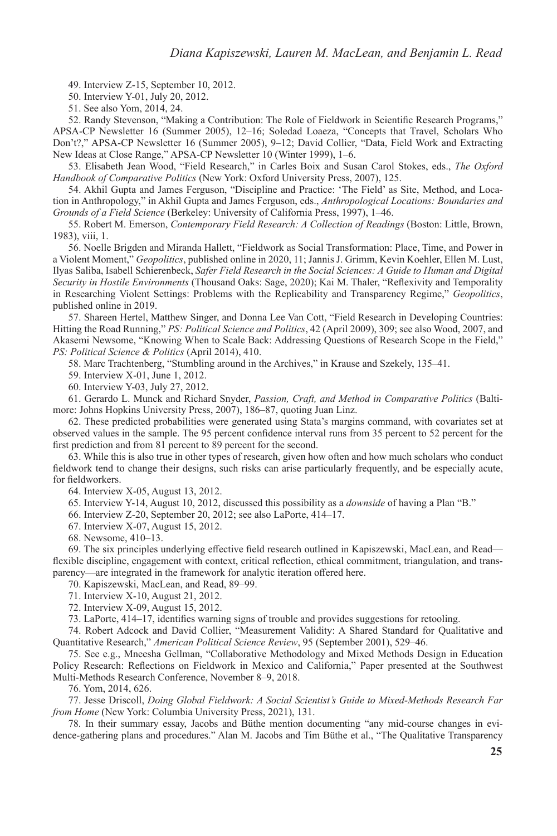49. Interview Z-15, September 10, 2012.

50. Interview Y-01, July 20, 2012.

51. See also Yom, 2014, 24.

52. Randy Stevenson, "Making a Contribution: The Role of Fieldwork in Scientific Research Programs," APSA-CP Newsletter 16 (Summer 2005), 12–16; Soledad Loaeza, "Concepts that Travel, Scholars Who Don't?," APSA-CP Newsletter 16 (Summer 2005), 9–12; David Collier, "Data, Field Work and Extracting New Ideas at Close Range," APSA-CP Newsletter 10 (Winter 1999), 1–6.

53. Elisabeth Jean Wood, "Field Research," in Carles Boix and Susan Carol Stokes, eds., *The Oxford Handbook of Comparative Politics* (New York: Oxford University Press, 2007), 125.

54. Akhil Gupta and James Ferguson, "Discipline and Practice: 'The Field' as Site, Method, and Location in Anthropology," in Akhil Gupta and James Ferguson, eds., *Anthropological Locations: Boundaries and Grounds of a Field Science* (Berkeley: University of California Press, 1997), 1–46.

55. Robert M. Emerson, *Contemporary Field Research: A Collection of Readings* (Boston: Little, Brown, 1983), viii, 1.

56. Noelle Brigden and Miranda Hallett, "Fieldwork as Social Transformation: Place, Time, and Power in a Violent Moment," *Geopolitics*, published online in 2020, 11; Jannis J. Grimm, Kevin Koehler, Ellen M. Lust, Ilyas Saliba, Isabell Schierenbeck, *Safer Field Research in the Social Sciences: A Guide to Human and Digital Security in Hostile Environments* (Thousand Oaks: Sage, 2020); Kai M. Thaler, "Reflexivity and Temporality in Researching Violent Settings: Problems with the Replicability and Transparency Regime," *Geopolitics*, published online in 2019.

57. Shareen Hertel, Matthew Singer, and Donna Lee Van Cott, "Field Research in Developing Countries: Hitting the Road Running," *PS: Political Science and Politics*, 42 (April 2009), 309; see also Wood, 2007, and Akasemi Newsome, "Knowing When to Scale Back: Addressing Questions of Research Scope in the Field," *PS: Political Science & Politics* (April 2014), 410.

58. Marc Trachtenberg, "Stumbling around in the Archives," in Krause and Szekely, 135–41.

59. Interview X-01, June 1, 2012.

60. Interview Y-03, July 27, 2012.

61. Gerardo L. Munck and Richard Snyder, *Passion, Craft, and Method in Comparative Politics* (Baltimore: Johns Hopkins University Press, 2007), 186–87, quoting Juan Linz.

62. These predicted probabilities were generated using Stata's margins command, with covariates set at observed values in the sample. The 95 percent confidence interval runs from 35 percent to 52 percent for the first prediction and from 81 percent to 89 percent for the second.

63. While this is also true in other types of research, given how often and how much scholars who conduct fieldwork tend to change their designs, such risks can arise particularly frequently, and be especially acute, for fieldworkers.

64. Interview X-05, August 13, 2012.

65. Interview Y-14, August 10, 2012, discussed this possibility as a *downside* of having a Plan "B."

66. Interview Z-20, September 20, 2012; see also LaPorte, 414–17.

67. Interview X-07, August 15, 2012.

68. Newsome, 410–13.

69. The six principles underlying effective field research outlined in Kapiszewski, MacLean, and Read flexible discipline, engagement with context, critical reflection, ethical commitment, triangulation, and transparency—are integrated in the framework for analytic iteration offered here.

70. Kapiszewski, MacLean, and Read, 89–99.

71. Interview X-10, August 21, 2012.

72. Interview X-09, August 15, 2012.

73. LaPorte, 414–17, identifies warning signs of trouble and provides suggestions for retooling.

74. Robert Adcock and David Collier, "Measurement Validity: A Shared Standard for Qualitative and Quantitative Research," *American Political Science Review*, 95 (September 2001), 529–46.

75. See e.g., Mneesha Gellman, "Collaborative Methodology and Mixed Methods Design in Education Policy Research: Reflections on Fieldwork in Mexico and California," Paper presented at the Southwest Multi-Methods Research Conference, November 8–9, 2018.

76. Yom, 2014, 626.

77. Jesse Driscoll, *Doing Global Fieldwork: A Social Scientist's Guide to Mixed-Methods Research Far from Home* (New York: Columbia University Press, 2021), 131.

78. In their summary essay, Jacobs and Büthe mention documenting "any mid-course changes in evidence-gathering plans and procedures." Alan M. Jacobs and Tim Büthe et al., "The Qualitative Transparency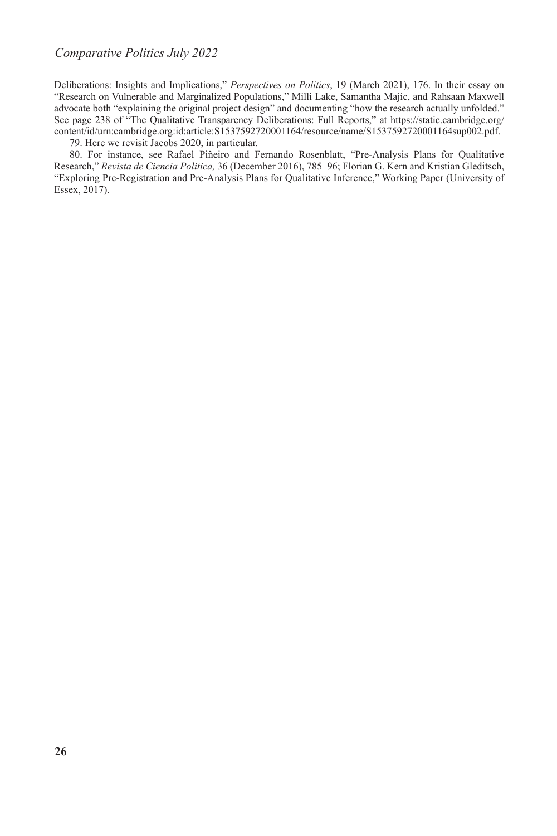#### *Comparative Politics July 2022*

Deliberations: Insights and Implications," *Perspectives on Politics*, 19 (March 2021), 176. In their essay on "Research on Vulnerable and Marginalized Populations," Milli Lake, Samantha Majic, and Rahsaan Maxwell advocate both "explaining the original project design" and documenting "how the research actually unfolded." See page 238 of "The Qualitative Transparency Deliberations: Full Reports," at [https://static.cambridge.org/](https://static.cambridge.org/content/id/urn:cambridge.org:id:article:S1537592720001164/resource/name/S1537592720001164sup002.pdf.) [content/id/urn:cambridge.org:id:article:S1537592720001164/resource/name/S1537592720001164sup002.pdf.](https://static.cambridge.org/content/id/urn:cambridge.org:id:article:S1537592720001164/resource/name/S1537592720001164sup002.pdf.)

79. Here we revisit Jacobs 2020, in particular.

80. For instance, see Rafael Piñeiro and Fernando Rosenblatt, "Pre-Analysis Plans for Qualitative Research," *Revista de Ciencia Politica,* 36 (December 2016), 785–96; Florian G. Kern and Kristian Gleditsch, "Exploring Pre-Registration and Pre-Analysis Plans for Qualitative Inference," Working Paper (University of Essex, 2017).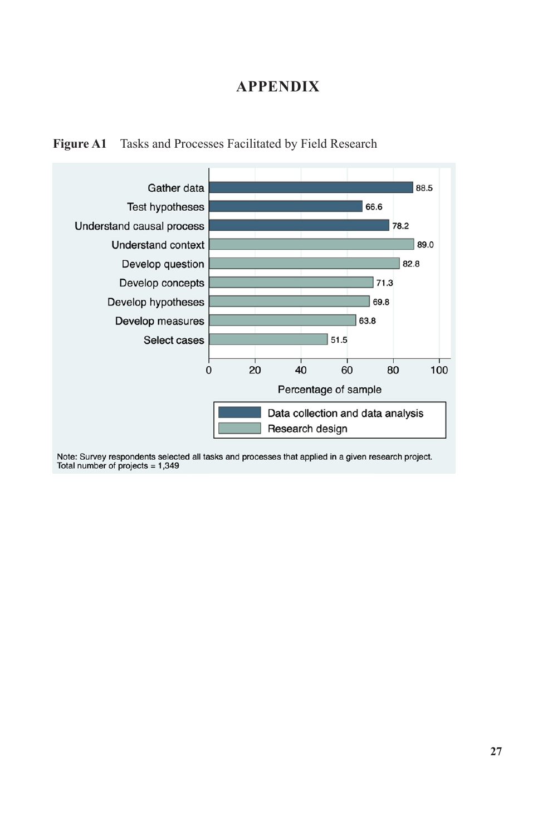# **APPENDIX**





Note: Survey respondents selected all tasks and processes that applied in a given research project. Total number of projects = 1,349